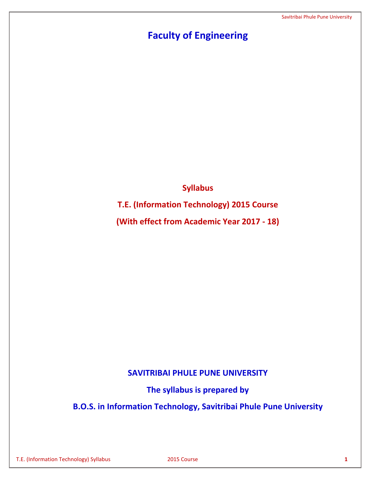# **Faculty of Engineering**

**Syllabus**

**T.E. (Information Technology) 2015 Course**

**(With effect from Academic Year 2017 - 18)**

# **SAVITRIBAI PHULE PUNE UNIVERSITY**

**The syllabus is prepared by**

**B.O.S. in Information Technology, Savitribai Phule Pune University**

T.E. (Information Technology) Syllabus 2015 Course **1**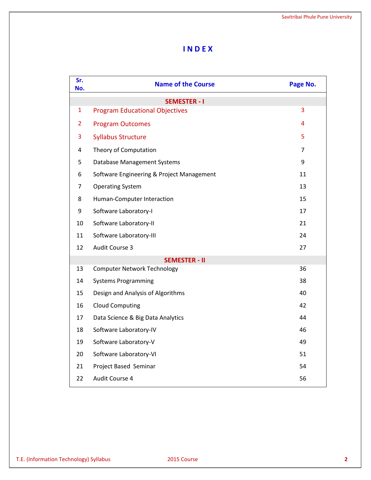# **I N D E X**

| Sr.<br>No.     | <b>Name of the Course</b>                 | Page No.       |
|----------------|-------------------------------------------|----------------|
|                | <b>SEMESTER - I</b>                       |                |
| $\mathbf{1}$   | <b>Program Educational Objectives</b>     | 3              |
| $\overline{2}$ | <b>Program Outcomes</b>                   | 4              |
| 3              | <b>Syllabus Structure</b>                 | 5              |
| 4              | Theory of Computation                     | $\overline{7}$ |
| 5              | Database Management Systems               | 9              |
| 6              | Software Engineering & Project Management | 11             |
| 7              | <b>Operating System</b>                   | 13             |
| 8              | Human-Computer Interaction                | 15             |
| 9              | Software Laboratory-I                     | 17             |
| 10             | Software Laboratory-II                    | 21             |
| 11             | Software Laboratory-III                   | 24             |
| 12             | Audit Course 3                            | 27             |
|                | <b>SEMESTER - II</b>                      |                |
| 13             | <b>Computer Network Technology</b>        | 36             |
| 14             | <b>Systems Programming</b>                | 38             |
| 15             | Design and Analysis of Algorithms         | 40             |
| 16             | <b>Cloud Computing</b>                    | 42             |
| 17             | Data Science & Big Data Analytics         | 44             |
| 18             | Software Laboratory-IV                    | 46             |
| 19             | Software Laboratory-V                     | 49             |
| 20             | Software Laboratory-VI                    | 51             |
| 21             | Project Based Seminar                     | 54             |
| 22             | Audit Course 4                            | 56             |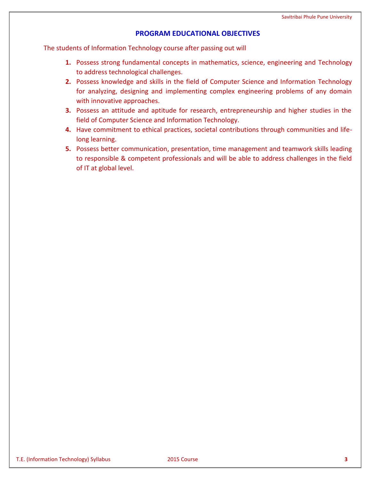# **PROGRAM EDUCATIONAL OBJECTIVES**

The students of Information Technology course after passing out will

- **1.** Possess strong fundamental concepts in mathematics, science, engineering and Technology to address technological challenges.
- **2.** Possess knowledge and skills in the field of Computer Science and Information Technology for analyzing, designing and implementing complex engineering problems of any domain with innovative approaches.
- **3.** Possess an attitude and aptitude for research, entrepreneurship and higher studies in the field of Computer Science and Information Technology.
- **4.** Have commitment to ethical practices, societal contributions through communities and lifelong learning.
- **5.** Possess better communication, presentation, time management and teamwork skills leading to responsible & competent professionals and will be able to address challenges in the field of IT at global level.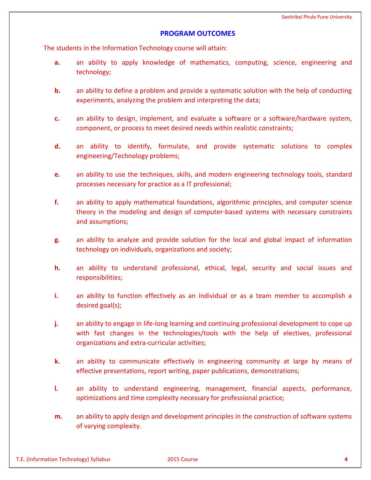# **PROGRAM OUTCOMES**

The students in the Information Technology course will attain:

- **a.** an ability to apply knowledge of mathematics, computing, science, engineering and technology;
- **b.** an ability to define a problem and provide a systematic solution with the help of conducting experiments, analyzing the problem and interpreting the data;
- **c.** an ability to design, implement, and evaluate a software or a software/hardware system, component, or process to meet desired needs within realistic constraints;
- **d.** an ability to identify, formulate, and provide systematic solutions to complex engineering/Technology problems;
- **e.** an ability to use the techniques, skills, and modern engineering technology tools, standard processes necessary for practice as a IT professional;
- **f.** an ability to apply mathematical foundations, algorithmic principles, and computer science theory in the modeling and design of computer-based systems with necessary constraints and assumptions;
- **g.** an ability to analyze and provide solution for the local and global impact of information technology on individuals, organizations and society;
- **h.** an ability to understand professional, ethical, legal, security and social issues and responsibilities;
- **i.** an ability to function effectively as an individual or as a team member to accomplish a desired goal(s);
- **j.** an ability to engage in life-long learning and continuing professional development to cope up with fast changes in the technologies/tools with the help of electives, professional organizations and extra-curricular activities;
- **k.** an ability to communicate effectively in engineering community at large by means of effective presentations, report writing, paper publications, demonstrations;
- **l.** an ability to understand engineering, management, financial aspects, performance, optimizations and time complexity necessary for professional practice;
- **m.** an ability to apply design and development principles in the construction of software systems of varying complexity.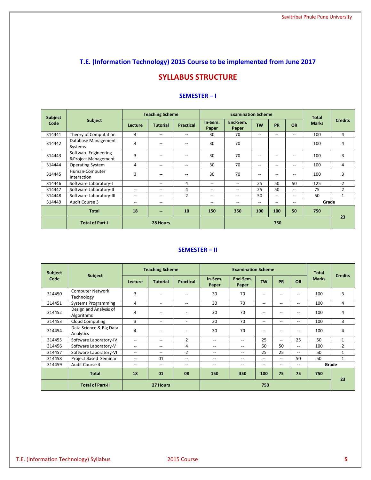# **T.E. (Information Technology) 2015 Course to be implemented from June 2017**

# **SYLLABUS STRUCTURE**

| Subject | <b>Teaching Scheme</b>                      |                          |                                       | <b>Examination Scheme</b> |                          |                                       |                          | <b>Total</b>             |                   |              |                |
|---------|---------------------------------------------|--------------------------|---------------------------------------|---------------------------|--------------------------|---------------------------------------|--------------------------|--------------------------|-------------------|--------------|----------------|
| Code    | Subject                                     | Lecture                  | <b>Tutorial</b>                       | <b>Practical</b>          | In-Sem.<br>Paper         | End-Sem.<br>Paper                     | <b>TW</b>                | <b>PR</b>                | <b>OR</b>         | <b>Marks</b> | <b>Credits</b> |
| 314441  | Theory of Computation                       | 4                        | $\overline{\phantom{a}}$              | $\sim$                    | 30                       | 70                                    | $- -$                    | $\overline{\phantom{m}}$ | $- -$             | 100          | 4              |
| 314442  | Database Management<br>Systems              | 4                        | --                                    | --                        | 30                       | 70                                    |                          |                          |                   | 100          | 4              |
| 314443  | Software Engineering<br>&Project Management | 3                        | --                                    | $\sim$                    | 30                       | 70                                    | $\qquad \qquad -$        | --                       | --                | 100          | 3              |
| 314444  | <b>Operating System</b>                     | 4                        | --                                    | --                        | 30                       | 70                                    | $- -$                    | $- -$                    | $- -$             | 100          | 4              |
| 314445  | Human-Computer<br>Interaction               | 3                        | --                                    | $\overline{a}$            | 30                       | 70                                    | $- -$                    | $- -$                    | --                | 100          | 3              |
| 314446  | Software Laboratory-I                       |                          | $-$                                   | 4                         | $-$                      | $-$                                   | 25                       | 50                       | 50                | 125          | $\overline{2}$ |
| 314447  | Software Laboratory-II                      | $- -$                    | --                                    | 4                         | $\overline{\phantom{m}}$ | $\overline{\phantom{m}}$              | 25                       | 50                       | --                | 75           | $\overline{2}$ |
| 314448  | Software Laboratory-III                     | $\overline{\phantom{m}}$ | $\hspace{0.05cm}$ – $\hspace{0.05cm}$ | 2                         | $\qquad \qquad -$        | $\hspace{0.05cm}$ – $\hspace{0.05cm}$ | 50                       | $\qquad \qquad -$        | --                | 50           | $\mathbf{1}$   |
| 314449  | Audit Course 3                              | $\overline{\phantom{m}}$ | $\overline{\phantom{m}}$              |                           | $\qquad \qquad -$        | $\hspace{0.05cm}$ – $\hspace{0.05cm}$ | $\overline{\phantom{a}}$ | $\overline{\phantom{m}}$ | $\qquad \qquad -$ | Grade        |                |
|         | <b>Total</b>                                | 18                       | $\sim$                                | 10                        | 150                      | 350                                   | 100                      | 100                      | 50                | 750          | 23             |
|         | <b>Total of Part-I</b>                      |                          | 28 Hours                              |                           |                          | 750                                   |                          |                          |                   |              |                |

### **SEMESTER – I**

# **SEMESTER – II**

| Subject |                                       | <b>Teaching Scheme</b>   |                                       | <b>Examination Scheme</b> |                          |                          |           | <b>Total</b>      |                                                     |              |                |
|---------|---------------------------------------|--------------------------|---------------------------------------|---------------------------|--------------------------|--------------------------|-----------|-------------------|-----------------------------------------------------|--------------|----------------|
| Code    | <b>Subject</b>                        | Lecture                  | <b>Tutorial</b>                       | <b>Practical</b>          | In-Sem.<br>Paper         | End Sem.<br>Paper        | <b>TW</b> | <b>PR</b>         | <b>OR</b>                                           | <b>Marks</b> | <b>Credits</b> |
| 314450  | <b>Computer Network</b><br>Technology | 3                        | $\overline{\phantom{a}}$              | $-$                       | 30                       | 70                       | $-$       | --                | $-$                                                 | 100          | 3              |
| 314451  | <b>Systems Programming</b>            | 4                        | $\overline{\phantom{a}}$              | $\overline{\phantom{m}}$  | 30                       | 70                       | --        | --                | $- -$                                               | 100          | 4              |
| 314452  | Design and Analysis of<br>Algorithms  | 4                        | $\overline{\phantom{a}}$              | $\overline{\phantom{a}}$  | 30                       | 70                       | --        | $\qquad \qquad -$ | $\qquad \qquad -$                                   | 100          | 4              |
| 314453  | <b>Cloud Computing</b>                | 3                        | $\overline{a}$                        | $\sim$                    | 30                       | 70                       | $- -$     | $- -$             | $- -$                                               | 100          | 3              |
| 314454  | Data Science & Big Data<br>Analytics  | 4                        | $\overline{\phantom{a}}$              | $\overline{\phantom{a}}$  | 30                       | 70                       | --        | --                | $\hspace{0.05cm}$ – $\hspace{0.05cm}$               | 100          | 4              |
| 314455  | Software Laboratory-IV                | $-$                      | $-$                                   | $\overline{2}$            | $- -$                    | $- -$                    | 25        | $-$               | 25                                                  | 50           | $\mathbf{1}$   |
| 314456  | Software Laboratory-V                 | --                       | $\hspace{0.05cm}$ – $\hspace{0.05cm}$ | 4                         | $\qquad \qquad -$        | $\qquad \qquad -$        | 50        | 50                | $\overline{\phantom{a}}$                            | 100          | $\overline{2}$ |
| 314457  | Software Laboratory-VI                | $\overline{\phantom{a}}$ | $\qquad \qquad -$                     | 2                         | --                       | $\overline{\phantom{a}}$ | 25        | 25                | $\overline{\phantom{a}}$                            | 50           | $\mathbf{1}$   |
| 314458  | Project Based Seminar                 | --                       | 01                                    | $\overline{\phantom{m}}$  | $\qquad \qquad -$        | $\overline{\phantom{m}}$ | --        | $- -$             | 50                                                  | 50           | $\mathbf{1}$   |
| 314459  | Audit Course 4                        | $\overline{\phantom{m}}$ | $\overline{\phantom{m}}$              | $\overline{\phantom{m}}$  | $\overline{\phantom{a}}$ | $\overline{\phantom{m}}$ | --        | $\qquad \qquad -$ | $\hspace{0.05cm} -\hspace{0.05cm} -\hspace{0.05cm}$ |              | Grade          |
|         | <b>Total</b>                          | 18                       | 01                                    | 08                        | 150                      | 350                      | 100       | 75                | 75                                                  | 750          | 23             |
|         | <b>Total of Part-II</b>               |                          | 27 Hours                              |                           | 750                      |                          |           |                   |                                                     |              |                |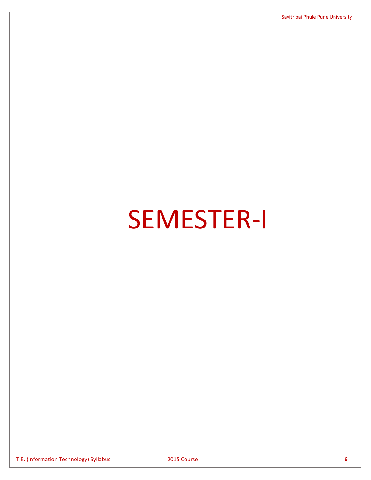# SEMESTER-I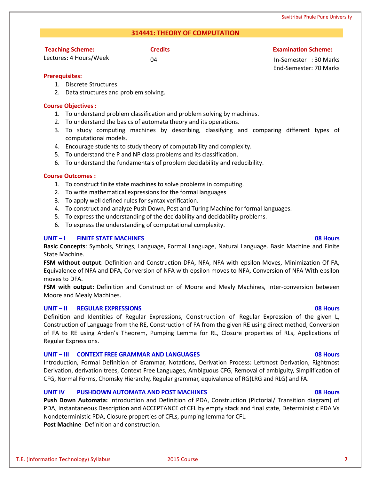T.E. (Information Technology) Syllabus 2015 Course **7**

# **314441: THEORY OF COMPUTATION**

**Credits Examination Scheme:**

Lectures: 4 Hours/Week

**Teaching Scheme:**

04 In-Semester : 30 Marks End-Semester: 70 Marks

Savitribai Phule Pune University

# **Prerequisites:**

- 1. Discrete Structures.
- 2. Data structures and problem solving.

# **Course Objectives :**

- 1. To understand problem classification and problem solving by machines.
- 2. To understand the basics of automata theory and its operations.
- 3. To study computing machines by describing, classifying and comparing different types of computational models.
- 4. Encourage students to study theory of computability and complexity.
- 5. To understand the P and NP class problems and its classification.
- 6. To understand the fundamentals of problem decidability and reducibility.

# **Course Outcomes :**

- 1. To construct finite state machines to solve problems in computing.
- 2. To write mathematical expressions for the formal languages
- 3. To apply well defined rules for syntax verification.
- 4. To construct and analyze Push Down, Post and Turing Machine for formal languages.
- 5. To express the understanding of the decidability and decidability problems.
- 6. To express the understanding of computational complexity.

# **UNIT – I FINITE STATE MACHINES 08 Hours**

**Basic Concepts**: Symbols, Strings, Language, Formal Language, Natural Language. Basic Machine and Finite State Machine.

**FSM without output**: Definition and Construction-DFA, NFA, NFA with epsilon-Moves, Minimization Of FA, Equivalence of NFA and DFA, Conversion of NFA with epsilon moves to NFA, Conversion of NFA With epsilon moves to DFA.

**FSM with output:** Definition and Construction of Moore and Mealy Machines, Inter-conversion between Moore and Mealy Machines.

# **UNIT – II REGULAR EXPRESSIONS 08 Hours**

Definition and Identities of Regular Expressions, Construction of Regular Expression of the given L, Construction of Language from the RE, Construction of FA from the given RE using direct method, Conversion of FA to RE using Arden's Theorem, Pumping Lemma for RL, Closure properties of RLs, Applications of Regular Expressions.

# **UNIT – III CONTEXT FREE GRAMMAR AND LANGUAGES 08 Hours**

Introduction, Formal Definition of Grammar, Notations, Derivation Process: Leftmost Derivation, Rightmost Derivation, derivation trees, Context Free Languages, Ambiguous CFG, Removal of ambiguity, Simplification of CFG, Normal Forms, Chomsky Hierarchy, Regular grammar, equivalence of RG(LRG and RLG) and FA.

# **UNIT IV PUSHDOWN AUTOMATA AND POST MACHINES 08 Hours**

**Push Down Automata:** Introduction and Definition of PDA, Construction (Pictorial/ Transition diagram) of PDA, Instantaneous Description and ACCEPTANCE of CFL by empty stack and final state, Deterministic PDA Vs Nondeterministic PDA, Closure properties of CFLs, pumping lemma for CFL. **Post Machine**- Definition and construction.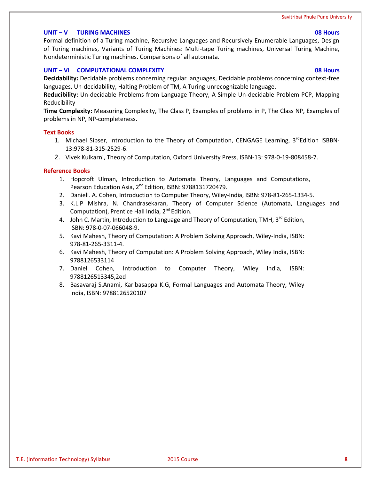### **UNIT – V TURING MACHINES 08 Hours**

Formal definition of a Turing machine, Recursive Languages and Recursively Enumerable Languages, Design of Turing machines, Variants of Turing Machines: Multi-tape Turing machines, Universal Turing Machine, Nondeterministic Turing machines. Comparisons of all automata.

# **UNIT – VI COMPUTATIONAL COMPLEXITY 08 Hours**

**Decidability:** Decidable problems concerning regular languages, Decidable problems concerning context-free languages, Un-decidability, Halting Problem of TM, A Turing-unrecognizable language.

**Reducibility:** Un-decidable Problems from Language Theory, A Simple Un-decidable Problem PCP, Mapping Reducibility

**Time Complexity:** Measuring Complexity, The Class P, Examples of problems in P, The Class NP, Examples of problems in NP, NP-completeness.

#### **Text Books**

- 1. Michael Sipser, Introduction to the Theory of Computation, CENGAGE Learning, 3<sup>rd</sup>Edition ISBBN-13:978-81-315-2529-6.
- 2. Vivek Kulkarni, Theory of Computation, Oxford University Press, ISBN-13: 978-0-19-808458-7.

### **Reference Books**

- 1. Hopcroft Ulman, Introduction to Automata Theory, Languages and Computations, Pearson Education Asia, 2<sup>nd</sup> Edition, ISBN: 9788131720479.
- 2. DanielI. A. Cohen, Introduction to Computer Theory, Wiley-India, ISBN: 978-81-265-1334-5.
- 3. K.L.P Mishra, N. Chandrasekaran, Theory of Computer Science (Automata, Languages and Computation), Prentice Hall India, 2<sup>nd</sup> Edition.
- 4. John C. Martin, Introduction to Language and Theory of Computation, TMH, 3<sup>rd</sup> Edition, ISBN: 978-0-07-066048-9.
- 5. Kavi Mahesh, Theory of Computation: A Problem Solving Approach, Wiley-India, ISBN: 978-81-265-3311-4.
- 6. Kavi Mahesh, Theory of Computation: A Problem Solving Approach, Wiley India, ISBN: 9788126533114
- 7. Daniel Cohen, Introduction to Computer Theory, Wiley India, ISBN: 9788126513345,2ed
- 8. Basavaraj S.Anami, Karibasappa K.G, Formal Languages and Automata Theory, Wiley India, ISBN: 9788126520107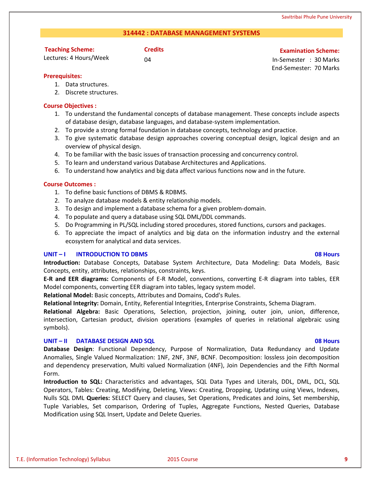# **314442 : DATABASE MANAGEMENT SYSTEMS**

# **Teaching Scheme:**

Lectures: 4 Hours/Week

# **Credits Examination Scheme:**

04 In-Semester : 30 Marks End-Semester: 70 Marks

# **Prerequisites:**

- 1. Data structures.
- 2. Discrete structures.

# **Course Objectives :**

- 1. To understand the fundamental concepts of database management. These concepts include aspects of database design, database languages, and database-system implementation.
- 2. To provide a strong formal foundation in database concepts, technology and practice.
- 3. To give systematic database design approaches covering conceptual design, logical design and an overview of physical design.
- 4. To be familiar with the basic issues of transaction processing and concurrency control.
- 5. To learn and understand various Database Architectures and Applications.
- 6. To understand how analytics and big data affect various functions now and in the future.

# **Course Outcomes :**

- 1. To define basic functions of DBMS & RDBMS.
- 2. To analyze database models & entity relationship models.
- 3. To design and implement a database schema for a given problem-domain.
- 4. To populate and query a database using SQL DML/DDL commands.
- 5. Do Programming in PL/SQL including stored procedures, stored functions, cursors and packages.
- 6. To appreciate the impact of analytics and big data on the information industry and the external ecosystem for analytical and data services.

# **UNIT – I INTRODUCTION TO DBMS 08 Hours**

# **Introduction:** Database Concepts, Database System Architecture, Data Modeling: Data Models, Basic Concepts, entity, attributes, relationships, constraints, keys.

**E-R and EER diagrams:** Components of E-R Model, conventions, converting E-R diagram into tables, EER Model components, converting EER diagram into tables, legacy system model.

**Relational Model:** Basic concepts, Attributes and Domains, Codd's Rules.

**Relational Integrity:** Domain, Entity, Referential Integrities, Enterprise Constraints, Schema Diagram.

**Relational Algebra:** Basic Operations, Selection, projection, joining, outer join, union, difference, intersection, Cartesian product, division operations (examples of queries in relational algebraic using symbols).

# **UNIT – II DATABASE DESIGN AND SQL 08 Hours**

# **Database Design**: Functional Dependency, Purpose of Normalization, Data Redundancy and Update Anomalies, Single Valued Normalization: 1NF, 2NF, 3NF, BCNF. Decomposition: lossless join decomposition and dependency preservation, Multi valued Normalization (4NF), Join Dependencies and the Fifth Normal Form.

**Introduction to SQL:** Characteristics and advantages, SQL Data Types and Literals, DDL, DML, DCL, SQL Operators, Tables: Creating, Modifying, Deleting, Views: Creating, Dropping, Updating using Views, Indexes, Nulls SQL DML **Queries:** SELECT Query and clauses, Set Operations, Predicates and Joins, Set membership, Tuple Variables, Set comparison, Ordering of Tuples, Aggregate Functions, Nested Queries, Database Modification using SQL Insert, Update and Delete Queries.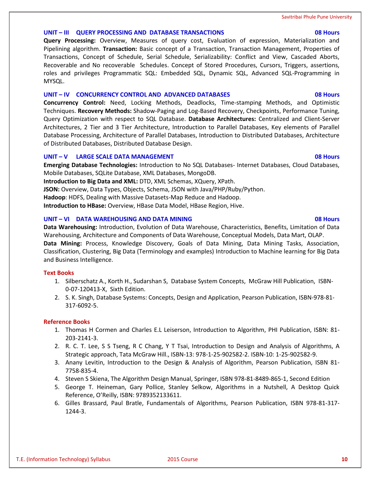### **UNIT – III QUERY PROCESSING AND DATABASE TRANSACTIONS 08 Hours**

**Query Processing:** Overview, Measures of query cost, Evaluation of expression, Materialization and Pipelining algorithm. **Transaction:** Basic concept of a Transaction, Transaction Management, Properties of Transactions, Concept of Schedule, Serial Schedule, Serializability: Conflict and View, Cascaded Aborts, Recoverable and No recoverable Schedules. Concept of Stored Procedures, Cursors, Triggers, assertions, roles and privileges Programmatic SQL: Embedded SQL, Dynamic SQL, Advanced SQL-Programming in MYSQL.

# **UNIT – IV CONCURRENCY CONTROL AND ADVANCED DATABASES 08 Hours**

**Concurrency Control:** Need, Locking Methods, Deadlocks, Time-stamping Methods, and Optimistic Techniques. **Recovery Methods:** Shadow-Paging and Log-Based Recovery, Checkpoints, Performance Tuning, Query Optimization with respect to SQL Database. **Database Architectures:** Centralized and Client-Server Architectures, 2 Tier and 3 Tier Architecture, Introduction to Parallel Databases, Key elements of Parallel Database Processing, Architecture of Parallel Databases, Introduction to Distributed Databases, Architecture of Distributed Databases, Distributed Database Design.

# **UNIT – V LARGE SCALE DATA MANAGEMENT 08 Hours**

**Emerging Database Technologies:** Introduction to No SQL Databases- Internet Databases, Cloud Databases, Mobile Databases, SQLite Database, XML Databases, MongoDB.

**Introduction to Big Data and XML:** DTD, XML Schemas, XQuery, XPath.

**JSON:** Overview, Data Types, Objects, Schema, JSON with Java/PHP/Ruby/Python.

**Hadoop**: HDFS, Dealing with Massive Datasets-Map Reduce and Hadoop.

**Introduction to HBase:** Overview, HBase Data Model, HBase Region, Hive.

# **UNIT – VI DATA WAREHOUSING AND DATA MINING 08 Hours**

**Data Warehousing:** Introduction, Evolution of Data Warehouse, Characteristics, Benefits, Limitation of Data Warehousing, Architecture and Components of Data Warehouse, Conceptual Models, Data Mart, OLAP. **Data Mining:** Process, Knowledge Discovery, Goals of Data Mining, Data Mining Tasks, Association, Classification, Clustering, Big Data (Terminology and examples) Introduction to Machine learning for Big Data and Business Intelligence.

# **Text Books**

- 1. Silberschatz A., Korth H., Sudarshan S, Database System Concepts, McGraw Hill Publication, ISBN-0-07-120413-X, Sixth Edition.
- 2. S. K. Singh, Database Systems: Concepts, Design and Application, Pearson Publication, ISBN-978-81- 317-6092-5.

# **Reference Books**

- 1. Thomas H Cormen and Charles E.L Leiserson, Introduction to Algorithm, PHI Publication, ISBN: 81- 203-2141-3.
- 2. R. C. T. Lee, S S Tseng, R C Chang, Y T Tsai, Introduction to Design and Analysis of Algorithms, A Strategic approach, Tata McGraw Hill., ISBN-13: 978-1-25-902582-2. ISBN-10: 1-25-902582-9.
- 3. Anany Levitin, Introduction to the Design & Analysis of Algorithm, Pearson Publication, ISBN 81- 7758-835-4.
- 4. Steven S Skiena, The Algorithm Design Manual, Springer, ISBN 978-81-8489-865-1, Second Edition
- 5. George T. Heineman, Gary Pollice, Stanley Selkow, Algorithms in a Nutshell, A Desktop Quick Reference, O'Reilly, ISBN: 9789352133611.
- 6. Gilles Brassard, Paul Bratle, Fundamentals of Algorithms, Pearson Publication, ISBN 978-81-317- 1244-3.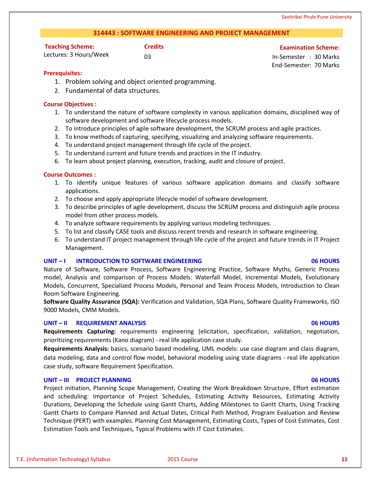# **314443 : SOFTWARE ENGINEERING AND PROJECT MANAGEMENT**

| <b>Teaching Scheme:</b> | <b>Cred</b> |
|-------------------------|-------------|
| Lectures: 3 Hours/Week  | 03          |

**Credits Examination Scheme:**

03 In-Semester : 30 Marks End-Semester: 70 Marks

# **Prerequisites:**

- 1. Problem solving and object oriented programming.
- 2. Fundamental of data structures.

# **Course Objectives :**

- 1. To understand the nature of software complexity in various application domains, disciplined way of software development and software lifecycle process models.
- 2. To introduce principles of agile software development, the SCRUM process and agile practices.
- 3. To know methods of capturing, specifying, visualizing and analyzing software requirements.
- 4. To understand project management through life cycle of the project.
- 5. To understand current and future trends and practices in the IT industry.
- 6. To learn about project planning, execution, tracking, audit and closure of project.

# **Course Outcomes :**

- 1. To identify unique features of various software application domains and classify software applications.
- 2. To choose and apply appropriate lifecycle model of software development.
- 3. To describe principles of agile development, discuss the SCRUM process and distinguish agile process model from other process models.
- 4. To analyze software requirements by applying various modeling techniques.
- 5. To list and classify CASE tools and discuss recent trends and research in software engineering.
- 6. To understand IT project management through life cycle of the project and future trends in IT Project Management.

# **UNIT – I INTRODUCTION TO SOFTWARE ENGINEERING 06 HOURS**

Nature of Software, Software Process, Software Engineering Practice, Software Myths, Generic Process model, Analysis and comparison of Process Models: Waterfall Model, Incremental Models, Evolutionary Models, Concurrent, Specialized Process Models, Personal and Team Process Models, Introduction to Clean Room Software Engineering.

**Software Quality Assurance (SQA):** Verification and Validation, SQA Plans, Software Quality Frameworks, ISO 9000 Models, CMM Models.

# **UNIT – II REQUIREMENT ANALYSIS 06 HOURS**

**Requirements Capturing:** requirements engineering (elicitation, specification, validation, negotiation, prioritizing requirements (Kano diagram) - real life application case study.

**Requirements Analysis:** basics, scenario based modeling, UML models: use case diagram and class diagram, data modeling, data and control flow model, behavioral modeling using state diagrams - real life application case study, software Requirement Specification.

# **UNIT – III PROJECT PLANNING 06 HOURS**

Project initiation, Planning Scope Management, Creating the Work Breakdown Structure, Effort estimation and scheduling: Importance of Project Schedules, Estimating Activity Resources, Estimating Activity Durations, Developing the Schedule using Gantt Charts, Adding Milestones to Gantt Charts, Using Tracking Gantt Charts to Compare Planned and Actual Dates, Critical Path Method, Program Evaluation and Review Technique (PERT) with examples. Planning Cost Management, Estimating Costs, Types of Cost Estimates, Cost Estimation Tools and Techniques, Typical Problems with IT Cost Estimates.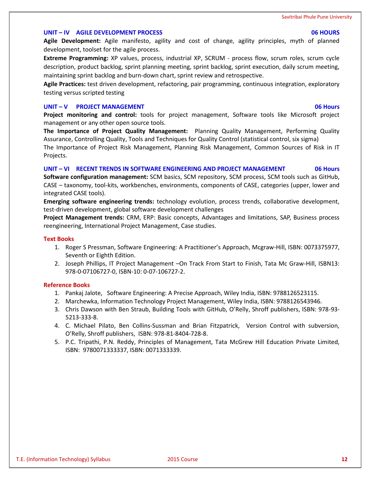# **UNIT – IV AGILE DEVELOPMENT PROCESS 06 HOURS**

**Agile Development:** Agile manifesto, agility and cost of change, agility principles, myth of planned development, toolset for the agile process.

**Extreme Programming:** XP values, process, industrial XP, SCRUM - process flow, scrum roles, scrum cycle description, product backlog, sprint planning meeting, sprint backlog, sprint execution, daily scrum meeting, maintaining sprint backlog and burn-down chart, sprint review and retrospective.

**Agile Practices:** test driven development, refactoring, pair programming, continuous integration, exploratory testing versus scripted testing

# **UNIT – V PROJECT MANAGEMENT 06 Hours**

**Project monitoring and control:** tools for project management, Software tools like Microsoft project management or any other open source tools.

**The Importance of Project Quality Management:** Planning Quality Management, Performing Quality Assurance, Controlling Quality, Tools and Techniques for Quality Control (statistical control, six sigma) The Importance of Project Risk Management, Planning Risk Management, Common Sources of Risk in IT Projects.

# **UNIT – VI RECENT TRENDS IN SOFTWARE ENGINEERING AND PROJECT MANAGEMENT 06 Hours**

**Software configuration management:** SCM basics, SCM repository, SCM process, SCM tools such as GitHub, CASE – taxonomy, tool-kits, workbenches, environments, components of CASE, categories (upper, lower and integrated CASE tools).

**Emerging software engineering trends:** technology evolution, process trends, collaborative development, test-driven development, global software development challenges

**Project Management trends:** CRM, ERP: Basic concepts, Advantages and limitations, SAP, Business process reengineering, International Project Management, Case studies.

# **Text Books**

- 1. Roger S Pressman, Software Engineering: A Practitioner's Approach, Mcgraw-Hill, ISBN: 0073375977, Seventh or Eighth Edition.
- 2. Joseph Phillips, IT Project Management –On Track From Start to Finish, Tata Mc Graw-Hill, ISBN13: 978-0-07106727-0, ISBN-10: 0-07-106727-2.

# **Reference Books**

- 1. Pankaj Jalote, Software Engineering: A Precise Approach, Wiley India, ISBN: 9788126523115.
- 2. Marchewka, Information Technology Project Management, Wiley India, ISBN: 9788126543946.
- 3. Chris Dawson with Ben Straub, Building Tools with GitHub, O'Relly, Shroff publishers, ISBN: 978-93- 5213-333-8.
- 4. C. Michael Pilato, Ben Collins-Sussman and Brian Fitzpatrick, Version Control with subversion, O'Relly, Shroff publishers, ISBN: 978-81-8404-728-8.
- 5. P.C. Tripathi, P.N. Reddy, Principles of Management, Tata McGrew Hill Education Private Limited, ISBN: 9780071333337, ISBN: 0071333339.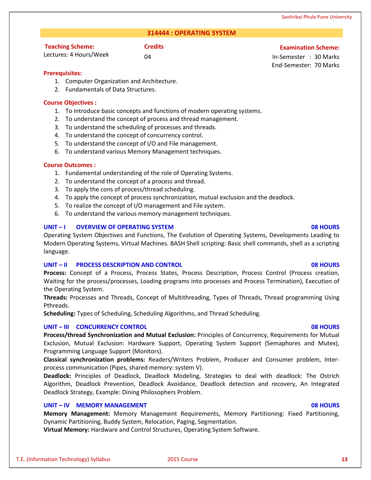# **314444 : OPERATING SYSTEM**

# **Teaching Scheme:**

Lectures: 4 Hours/Week

**Credits Examination Scheme:**

04 In-Semester : 30 Marks End-Semester: 70 Marks

# **Prerequisites:**

- 1. Computer Organization and Architecture.
- 2. Fundamentals of Data Structures.

# **Course Objectives :**

- 1. To introduce basic concepts and functions of modern operating systems.
- 2. To understand the concept of process and thread management.
- 3. To understand the scheduling of processes and threads.
- 4. To understand the concept of concurrency control.
- 5. To understand the concept of I/O and File management.
- 6. To understand various Memory Management techniques.

# **Course Outcomes :**

- 1. Fundamental understanding of the role of Operating Systems.
- 2. To understand the concept of a process and thread.
- 3. To apply the cons of process/thread scheduling.
- 4. To apply the concept of process synchronization, mutual exclusion and the deadlock.
- 5. To realize the concept of I/O management and File system.
- 6. To understand the various memory management techniques.

# **UNIT – I OVERVIEW OF OPERATING SYSTEM 08 HOURS**

Operating System Objectives and Functions, The Evolution of Operating Systems, Developments Leading to Modern Operating Systems, Virtual Machines. BASH Shell scripting: Basic shell commands, shell as a scripting language.

# **UNIT – II PROCESS DESCRIPTION AND CONTROL 08 HOURS**

**Process:** Concept of a Process, Process States, Process Description, Process Control (Process creation, Waiting for the process/processes, Loading programs into processes and Process Termination), Execution of the Operating System.

**Threads:** Processes and Threads, Concept of Multithreading, Types of Threads, Thread programming Using Pthreads.

**Scheduling:** Types of Scheduling, Scheduling Algorithms, and Thread Scheduling.

# **UNIT – III CONCURRENCY CONTROL 08 HOURS**

**Process/thread Synchronization and Mutual Exclusion:** Principles of Concurrency, Requirements for Mutual Exclusion, Mutual Exclusion: Hardware Support, Operating System Support (Semaphores and Mutex), Programming Language Support (Monitors).

**Classical synchronization problems:** Readers/Writers Problem, Producer and Consumer problem, Interprocess communication (Pipes, shared memory: system V).

**Deadlock:** Principles of Deadlock, Deadlock Modeling, Strategies to deal with deadlock: The Ostrich Algorithm, Deadlock Prevention, Deadlock Avoidance, Deadlock detection and recovery, An Integrated Deadlock Strategy, Example: Dining Philosophers Problem.

# **UNIT – IV MEMORY MANAGEMENT 08 HOURS**

**Memory Management:** Memory Management Requirements, Memory Partitioning: Fixed Partitioning, Dynamic Partitioning, Buddy System, Relocation, Paging, Segmentation.

**Virtual Memory:** Hardware and Control Structures, Operating System Software.

# T.E. (Information Technology) Syllabus 2015 Course **13**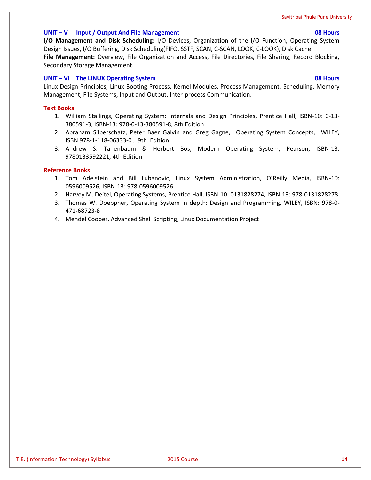# **UNIT – V Input / Output And File Management 08 Hours**

**I/O Management and Disk Scheduling:** I/O Devices, Organization of the I/O Function, Operating System Design Issues, I/O Buffering, Disk Scheduling(FIFO, SSTF, SCAN, C-SCAN, LOOK, C-LOOK), Disk Cache. **File Management:** Overview, File Organization and Access, File Directories, File Sharing, Record Blocking, Secondary Storage Management.

### **UNIT – VI The LINUX Operating System 08 Hours**

Linux Design Principles, Linux Booting Process, Kernel Modules, Process Management, Scheduling, Memory Management, File Systems, Input and Output, Inter-process Communication.

# **Text Books**

- 1. William Stallings, Operating System: Internals and Design Principles, Prentice Hall, ISBN-10: 0-13- 380591-3, ISBN-13: 978-0-13-380591-8, 8th Edition
- 2. Abraham Silberschatz, Peter Baer Galvin and Greg Gagne, Operating System Concepts, WILEY, ISBN 978-1-118-06333-0 , 9th Edition
- 3. Andrew S. Tanenbaum & Herbert Bos, Modern Operating System, Pearson, ISBN-13: 9780133592221, 4th Edition

### **Reference Books**

- 1. Tom Adelstein and Bill Lubanovic, Linux System Administration, O'Reilly Media, ISBN-10: 0596009526, ISBN-13: 978-0596009526
- 2. Harvey M. Deitel, Operating Systems, Prentice Hall, ISBN-10: 0131828274, ISBN-13: 978-0131828278
- 3. Thomas W. Doeppner, Operating System in depth: Design and Programming, WILEY, ISBN: 978-0- 471-68723-8
- 4. Mendel Cooper, Advanced Shell Scripting, Linux Documentation Project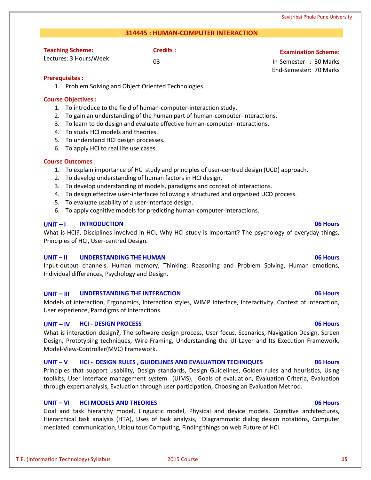# **314445 : HUMAN-COMPUTER INTERACTION**

| <b>Teaching Scheme:</b> | Credits : |
|-------------------------|-----------|
| Lectures: 3 Hours/Week  | nз        |

# **Examination Scheme:**

03 In-Semester : 30 Marks End-Semester: 70 Marks

# **Prerequisites :**

1. Problem Solving and Object Oriented Technologies.

# **Course Objectives :**

- 1. To introduce to the field of human-computer-interaction study.
- 2. To gain an understanding of the human part of human-computer-interactions.
- 3. To learn to do design and evaluate effective human-computer-interactions.
- 4. To study HCI models and theories.
- 5. To understand HCI design processes.
- 6. To apply HCI to real life use cases.

# **Course Outcomes :**

- 1. To explain importance of HCI study and principles of user-centred design (UCD) approach.
- 2. To develop understanding of human factors in HCI design.
- 3. To develop understanding of models, paradigms and context of interactions.
- 4. To design effective user-interfaces following a structured and organized UCD process.
- 5. To evaluate usability of a user-interface design.
- 6. To apply cognitive models for predicting human-computer-interactions.

# **UNIT – I INTRODUCTION 06 Hours**

What is HCI?, Disciplines involved in HCI, Why HCI study is important? The psychology of everyday things, Principles of HCI, User-centred Design.

# **UNIT – II UNDERSTANDING THE HUMAN 06 Hours**

Input-output channels, Human memory, Thinking: Reasoning and Problem Solving, Human emotions, Individual differences, Psychology and Design.

# **UNIT – III UNDERSTANDING THE INTERACTION 06 Hours**

Models of interaction, Ergonomics, Interaction styles, WIMP Interface, Interactivity, Context of interaction, User experience, Paradigms of Interactions.

# **UNIT – IV HCI - DESIGN PROCESS 06 Hours**

What is interaction design?, The software design process, User focus, Scenarios, Navigation Design, Screen Design, Prototyping techniques, Wire-Framing, Understanding the UI Layer and Its Execution Framework, Model-View-Controller(MVC) Framework.

# **UNIT – V HCI - DESIGN RULES , GUIDELINES AND EVALUATION TECHNIQUES 06 Hours**

Principles that support usability, Design standards, Design Guidelines, Golden rules and heuristics, Using toolkits, User interface management system (UIMS), Goals of evaluation, Evaluation Criteria, Evaluation through expert analysis, Evaluation through user participation, Choosing an Evaluation Method.

# **UNIT – VI HCI MODELS AND THEORIES 06 Hours**

Goal and task hierarchy model, Linguistic model, Physical and device models, Cognitive architectures, Hierarchical task analysis (HTA), Uses of task analysis, Diagrammatic dialog design notations, Computer mediated communication, Ubiquitous Computing, Finding things on web Future of HCI.

# T.E. (Information Technology) Syllabus 2015 Course **15**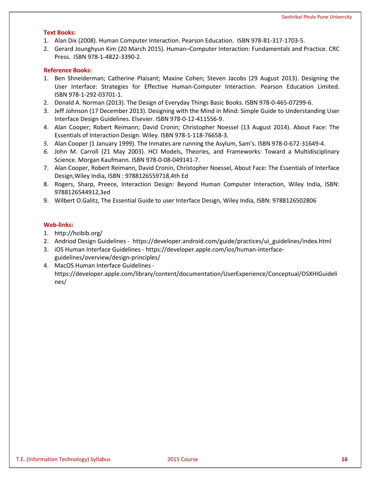### **Text Books:**

- 1. Alan Dix (2008). Human Computer Interaction. Pearson Education. ISBN 978-81-317-1703-5.
- 2. Gerard Jounghyun Kim (20 March 2015). Human–Computer Interaction: Fundamentals and Practice. CRC Press. ISBN 978-1-4822-3390-2.

# **Reference Books:**

- 1. Ben Shneiderman; Catherine Plaisant; Maxine Cohen; Steven Jacobs (29 August 2013). Designing the User Interface: Strategies for Effective Human-Computer Interaction. Pearson Education Limited. ISBN 978-1-292-03701-1.
- 2. Donald A. Norman (2013). The Design of Everyday Things Basic Books. ISBN 978-0-465-07299-6.
- 3. Jeff Johnson (17 December 2013). Designing with the Mind in Mind: Simple Guide to Understanding User Interface Design Guidelines. Elsevier. ISBN 978-0-12-411556-9.
- 4. Alan Cooper; Robert Reimann; David Cronin; Christopher Noessel (13 August 2014). About Face: The Essentials of Interaction Design. Wiley. ISBN 978-1-118-76658-3.
- *5.* Alan Cooper (1 January 1999). The Inmates are running the Asylum, Sam's. ISBN 978-0-672-31649-4.
- *6.* John M. Carroll (21 May 2003). HCI Models, Theories, and Frameworks: Toward a Multidisciplinary Science. Morgan Kaufmann. ISBN 978-0-08-049141-7.
- 7. Alan Cooper, Robert Reimann, David Cronin, Christopher Noessel, About Face: The Essentials of Interface Design,Wiley India, ISBN : 9788126559718,4th Ed
- 8. Rogers, Sharp, Preece, Interaction Design: Beyond Human Computer Interaction, Wiley India, ISBN: 9788126544912,3ed
- 9. Wilbert O.Galitz, The Essential Guide to user Interface Design, Wiley India, ISBN: 9788126502806

# **Web-links:**

- 1. http://hcibib.org/
- 2. Andriod Design Guidelines https://developer.android.com/guide/practices/ui\_guidelines/index.html
- 3. iOS Human Interface Guidelines https://developer.apple.com/ios/human-interfaceguidelines/overview/design-principles/
- 4. MacOS Human Interface Guidelines https://developer.apple.com/library/content/documentation/UserExperience/Conceptual/OSXHIGuideli nes/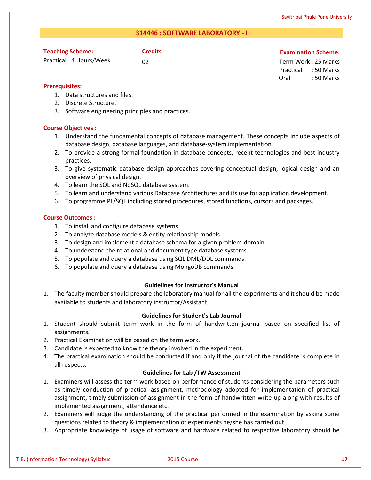# **314446 : SOFTWARE LABORATORY - I**

# **Teaching Scheme:**

Practical : 4 Hours/Week

# **Credits Examination Scheme:**

02 Term Work : 25 Marks Practical : 50 Marks Oral : 50 Marks

# **Prerequisites:**

- 1. Data structures and files.
- 2. Discrete Structure.
- 3. Software engineering principles and practices.

# **Course Objectives :**

- 1. Understand the fundamental concepts of database management. These concepts include aspects of database design, database languages, and database-system implementation.
- 2. To provide a strong formal foundation in database concepts, recent technologies and best industry practices.
- 3. To give systematic database design approaches covering conceptual design, logical design and an overview of physical design.
- 4. To learn the SQL and NoSQL database system.
- 5. To learn and understand various Database Architectures and its use for application development.
- 6. To programme PL/SQL including stored procedures, stored functions, cursors and packages.

# **Course Outcomes :**

- 1. To install and configure database systems.
- 2. To analyze database models & entity relationship models.
- 3. To design and implement a database schema for a given problem-domain
- 4. To understand the relational and document type database systems.
- 5. To populate and query a database using SQL DML/DDL commands.
- 6. To populate and query a database using MongoDB commands.

# **Guidelines for Instructor's Manual**

1. The faculty member should prepare the laboratory manual for all the experiments and it should be made available to students and laboratory instructor/Assistant.

# **Guidelines for Student's Lab Journal**

- 1. Student should submit term work in the form of handwritten journal based on specified list of assignments.
- 2. Practical Examination will be based on the term work.
- 3. Candidate is expected to know the theory involved in the experiment.
- 4. The practical examination should be conducted if and only if the journal of the candidate is complete in all respects.

# **Guidelines for Lab /TW Assessment**

- 1. Examiners will assess the term work based on performance of students considering the parameters such as timely conduction of practical assignment, methodology adopted for implementation of practical assignment, timely submission of assignment in the form of handwritten write-up along with results of implemented assignment, attendance etc.
- 2. Examiners will judge the understanding of the practical performed in the examination by asking some questions related to theory & implementation of experiments he/she has carried out.
- 3. Appropriate knowledge of usage of software and hardware related to respective laboratory should be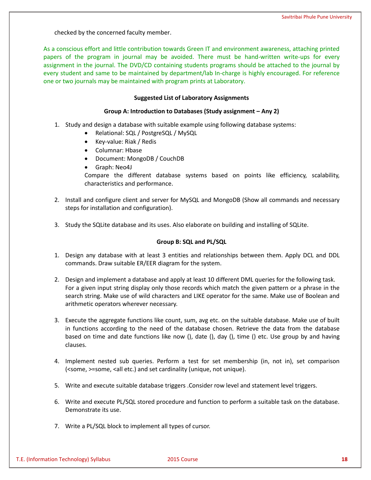checked by the concerned faculty member.

As a conscious effort and little contribution towards Green IT and environment awareness, attaching printed papers of the program in journal may be avoided. There must be hand-written write-ups for every assignment in the journal. The DVD/CD containing students programs should be attached to the journal by every student and same to be maintained by department/lab In-charge is highly encouraged. For reference one or two journals may be maintained with program prints at Laboratory.

### **Suggested List of Laboratory Assignments**

### **Group A: Introduction to Databases (Study assignment – Any 2)**

- 1. Study and design a database with suitable example using following database systems:
	- Relational: SQL / PostgreSQL / MySQL
	- Key-value: Riak / Redis
	- Columnar: Hbase
	- Document: MongoDB / CouchDB
	- Graph: Neo4J

Compare the different database systems based on points like efficiency, scalability, characteristics and performance.

- 2. Install and configure client and server for MySQL and MongoDB (Show all commands and necessary steps for installation and configuration).
- 3. Study the SQLite database and its uses. Also elaborate on building and installing of SQLite.

# **Group B: SQL and PL/SQL**

- 1. Design any database with at least 3 entities and relationships between them. Apply DCL and DDL commands. Draw suitable ER/EER diagram for the system.
- 2. Design and implement a database and apply at least 10 different DML queries for the following task. For a given input string display only those records which match the given pattern or a phrase in the search string. Make use of wild characters and LIKE operator for the same. Make use of Boolean and arithmetic operators wherever necessary.
- 3. Execute the aggregate functions like count, sum, avg etc. on the suitable database. Make use of built in functions according to the need of the database chosen. Retrieve the data from the database based on time and date functions like now (), date (), day (), time () etc. Use group by and having clauses.
- 4. Implement nested sub queries. Perform a test for set membership (in, not in), set comparison (<some, >=some, <all etc.) and set cardinality (unique, not unique).
- 5. Write and execute suitable database triggers .Consider row level and statement level triggers.
- 6. Write and execute PL/SQL stored procedure and function to perform a suitable task on the database. Demonstrate its use.
- 7. Write a PL/SQL block to implement all types of cursor.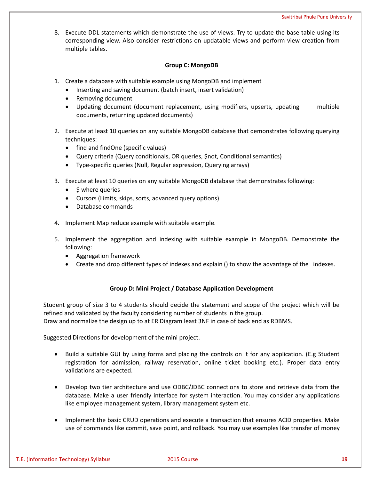8. Execute DDL statements which demonstrate the use of views. Try to update the base table using its corresponding view. Also consider restrictions on updatable views and perform view creation from multiple tables.

# **Group C: MongoDB**

- 1. Create a database with suitable example using MongoDB and implement
	- Inserting and saving document (batch insert, insert validation)
	- Removing document
	- Updating document (document replacement, using modifiers, upserts, updating multiple documents, returning updated documents)
- 2. Execute at least 10 queries on any suitable MongoDB database that demonstrates following querying techniques:
	- find and findOne (specific values)
	- Query criteria (Query conditionals, OR queries, \$not, Conditional semantics)
	- Type-specific queries (Null, Regular expression, Querying arrays)
- 3. Execute at least 10 queries on any suitable MongoDB database that demonstrates following:
	- $\bullet$  \$ where queries
	- Cursors (Limits, skips, sorts, advanced query options)
	- Database commands
- 4. Implement Map reduce example with suitable example.
- 5. Implement the aggregation and indexing with suitable example in MongoDB. Demonstrate the following:
	- Aggregation framework
	- Create and drop different types of indexes and explain () to show the advantage of the indexes.

# **Group D: Mini Project / Database Application Development**

Student group of size 3 to 4 students should decide the statement and scope of the project which will be refined and validated by the faculty considering number of students in the group. Draw and normalize the design up to at ER Diagram least 3NF in case of back end as RDBMS.

Suggested Directions for development of the mini project.

- Build a suitable GUI by using forms and placing the controls on it for any application. (E.g Student registration for admission, railway reservation, online ticket booking etc.). Proper data entry validations are expected.
- Develop two tier architecture and use ODBC/JDBC connections to store and retrieve data from the database. Make a user friendly interface for system interaction. You may consider any applications like employee management system, library management system etc.
- Implement the basic CRUD operations and execute a transaction that ensures ACID properties. Make use of commands like commit, save point, and rollback. You may use examples like transfer of money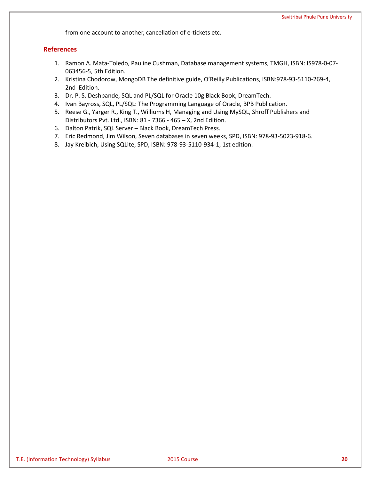from one account to another, cancellation of e-tickets etc.

# **References**

- 1. Ramon A. Mata-Toledo, Pauline Cushman, Database management systems, TMGH, ISBN: IS978-0-07- 063456-5, 5th Edition.
- 2. Kristina Chodorow, MongoDB The definitive guide, O'Reilly Publications, ISBN:978-93-5110-269-4, 2nd Edition.
- 3. Dr. P. S. Deshpande, SQL and PL/SQL for Oracle 10g Black Book, DreamTech.
- 4. Ivan Bayross, SQL, PL/SQL: The Programming Language of Oracle, BPB Publication.
- 5. Reese G., Yarger R., King T., Williums H, Managing and Using MySQL, Shroff Publishers and Distributors Pvt. Ltd., ISBN: 81 - 7366 - 465 – X, 2nd Edition.
- 6. Dalton Patrik, SQL Server Black Book, DreamTech Press.
- 7. Eric Redmond, Jim Wilson, Seven databases in seven weeks, SPD, ISBN: 978-93-5023-918-6.
- 8. Jay Kreibich, Using SQLite, SPD, ISBN: 978-93-5110-934-1, 1st edition.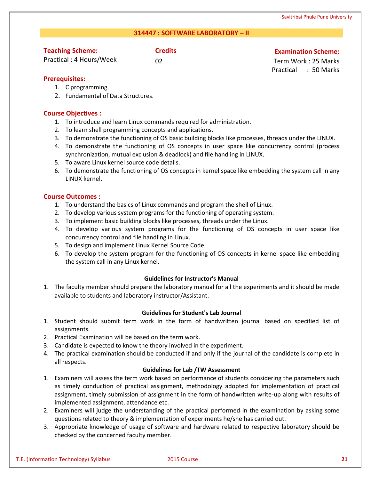# **314447 : SOFTWARE LABORATORY – II**

# **Teaching Scheme:**

Practical : 4 Hours/Week

# **Credits Credits Credits Examination Scheme:**

02 Term Work : 25 Marks Practical : 50 Marks

# **Prerequisites:**

- 1. C programming.
- 2. Fundamental of Data Structures.

# **Course Objectives :**

- 1. To introduce and learn Linux commands required for administration.
- 2. To learn shell programming concepts and applications.
- 3. To demonstrate the functioning of OS basic building blocks like processes, threads under the LINUX.
- 4. To demonstrate the functioning of OS concepts in user space like concurrency control (process synchronization, mutual exclusion & deadlock) and file handling in LINUX.
- 5. To aware Linux kernel source code details.
- 6. To demonstrate the functioning of OS concepts in kernel space like embedding the system call in any LINUX kernel.

# **Course Outcomes :**

- 1. To understand the basics of Linux commands and program the shell of Linux.
- 2. To develop various system programs for the functioning of operating system.
- 3. To implement basic building blocks like processes, threads under the Linux.
- 4. To develop various system programs for the functioning of OS concepts in user space like concurrency control and file handling in Linux.
- 5. To design and implement Linux Kernel Source Code.
- 6. To develop the system program for the functioning of OS concepts in kernel space like embedding the system call in any Linux kernel.

# **Guidelines for Instructor's Manual**

1. The faculty member should prepare the laboratory manual for all the experiments and it should be made available to students and laboratory instructor/Assistant.

# **Guidelines for Student's Lab Journal**

- 1. Student should submit term work in the form of handwritten journal based on specified list of assignments.
- 2. Practical Examination will be based on the term work.
- 3. Candidate is expected to know the theory involved in the experiment.
- 4. The practical examination should be conducted if and only if the journal of the candidate is complete in all respects.

# **Guidelines for Lab /TW Assessment**

- 1. Examiners will assess the term work based on performance of students considering the parameters such as timely conduction of practical assignment, methodology adopted for implementation of practical assignment, timely submission of assignment in the form of handwritten write-up along with results of implemented assignment, attendance etc.
- 2. Examiners will judge the understanding of the practical performed in the examination by asking some questions related to theory & implementation of experiments he/she has carried out.
- 3. Appropriate knowledge of usage of software and hardware related to respective laboratory should be checked by the concerned faculty member.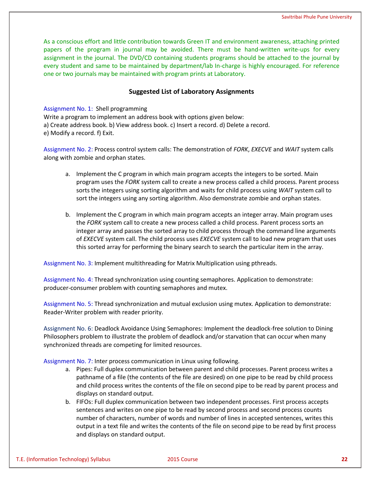As a conscious effort and little contribution towards Green IT and environment awareness, attaching printed papers of the program in journal may be avoided. There must be hand-written write-ups for every assignment in the journal. The DVD/CD containing students programs should be attached to the journal by every student and same to be maintained by department/lab In-charge is highly encouraged. For reference one or two journals may be maintained with program prints at Laboratory.

# **Suggested List of Laboratory Assignments**

Assignment No. 1: Shell programming Write a program to implement an address book with options given below: a) Create address book. b) View address book. c) Insert a record. d) Delete a record. e) Modify a record. f) Exit.

Assignment No. 2: Process control system calls: The demonstration of *FORK*, *EXECVE* and *WAIT* system calls along with zombie and orphan states.

- a. Implement the C program in which main program accepts the integers to be sorted. Main program uses the *FORK* system call to create a new process called a child process. Parent process sorts the integers using sorting algorithm and waits for child process using *WAIT* system call to sort the integers using any sorting algorithm. Also demonstrate zombie and orphan states.
- b. Implement the C program in which main program accepts an integer array. Main program uses the *FORK* system call to create a new process called a child process. Parent process sorts an integer array and passes the sorted array to child process through the command line arguments of *EXECVE* system call. The child process uses *EXECVE* system call to load new program that uses this sorted array for performing the binary search to search the particular item in the array.

Assignment No. 3: Implement multithreading for Matrix Multiplication using pthreads.

Assignment No. 4: Thread synchronization using counting semaphores. Application to demonstrate: producer-consumer problem with counting semaphores and mutex.

Assignment No. 5: Thread synchronization and mutual exclusion using mutex. Application to demonstrate: Reader-Writer problem with reader priority.

Assignment No. 6: Deadlock Avoidance Using Semaphores: Implement the deadlock-free solution to Dining Philosophers problem to illustrate the problem of deadlock and/or starvation that can occur when many synchronized threads are competing for limited resources.

Assignment No. 7: Inter process communication in Linux using following.

- a. Pipes: Full duplex communication between parent and child processes. Parent process writes a pathname of a file (the contents of the file are desired) on one pipe to be read by child process and child process writes the contents of the file on second pipe to be read by parent process and displays on standard output.
- b. FIFOs: Full duplex communication between two independent processes. First process accepts sentences and writes on one pipe to be read by second process and second process counts number of characters, number of words and number of lines in accepted sentences, writes this output in a text file and writes the contents of the file on second pipe to be read by first process and displays on standard output.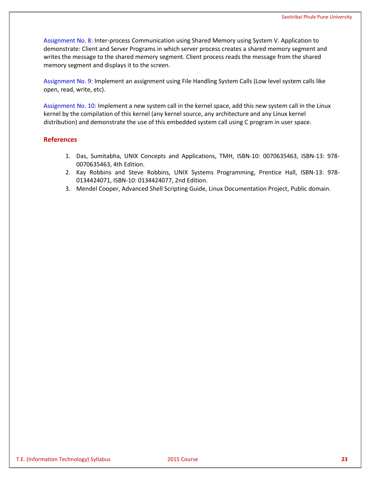Assignment No. 8: Inter-process Communication using Shared Memory using System V. Application to demonstrate: Client and Server Programs in which server process creates a shared memory segment and writes the message to the shared memory segment. Client process reads the message from the shared memory segment and displays it to the screen.

Assignment No. 9: Implement an assignment using File Handling System Calls (Low level system calls like open, read, write, etc).

Assignment No. 10: Implement a new system call in the kernel space, add this new system call in the Linux kernel by the compilation of this kernel (any kernel source, any architecture and any Linux kernel distribution) and demonstrate the use of this embedded system call using C program in user space.

# **References**

- 1. Das, Sumitabha, UNIX Concepts and Applications, TMH, ISBN-10: 0070635463, ISBN-13: 978- 0070635463, 4th Edition.
- 2. Kay Robbins and Steve Robbins, UNIX Systems Programming, Prentice Hall, ISBN-13: 978- 0134424071, ISBN-10: 0134424077, 2nd Edition.
- 3. Mendel Cooper, Advanced Shell Scripting Guide, Linux Documentation Project, Public domain.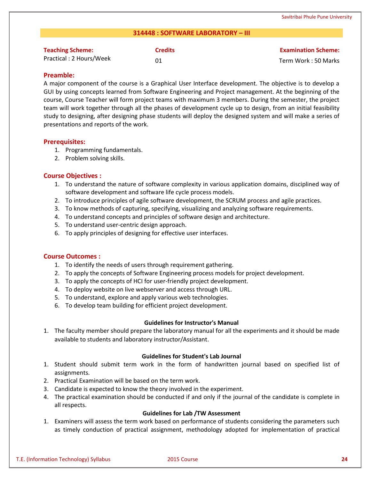# **314448 : SOFTWARE LABORATORY – III**

| <b>Teaching Scheme:</b>  | <b>Credits</b> | <b>Examination Scheme:</b> |
|--------------------------|----------------|----------------------------|
| Practical : 2 Hours/Week |                | Term Work: 50 Marks        |

# **Preamble:**

A major component of the course is a Graphical User Interface development. The objective is to develop a GUI by using concepts learned from Software Engineering and Project management. At the beginning of the course, Course Teacher will form project teams with maximum 3 members. During the semester, the project team will work together through all the phases of development cycle up to design, from an initial feasibility study to designing, after designing phase students will deploy the designed system and will make a series of presentations and reports of the work.

# **Prerequisites:**

- 1. Programming fundamentals.
- 2. Problem solving skills.

# **Course Objectives :**

- 1. To understand the nature of software complexity in various application domains, disciplined way of software development and software life cycle process models.
- 2. To introduce principles of agile software development, the SCRUM process and agile practices.
- 3. To know methods of capturing, specifying, visualizing and analyzing software requirements.
- 4. To understand concepts and principles of software design and architecture.
- 5. To understand user-centric design approach.
- 6. To apply principles of designing for effective user interfaces.

# **Course Outcomes :**

- 1. To identify the needs of users through requirement gathering.
- 2. To apply the concepts of Software Engineering process models for project development.
- 3. To apply the concepts of HCI for user-friendly project development.
- 4. To deploy website on live webserver and access through URL.
- 5. To understand, explore and apply various web technologies.
- 6. To develop team building for efficient project development.

# **Guidelines for Instructor's Manual**

1. The faculty member should prepare the laboratory manual for all the experiments and it should be made available to students and laboratory instructor/Assistant.

# **Guidelines for Student's Lab Journal**

- 1. Student should submit term work in the form of handwritten journal based on specified list of assignments.
- 2. Practical Examination will be based on the term work.
- 3. Candidate is expected to know the theory involved in the experiment.
- 4. The practical examination should be conducted if and only if the journal of the candidate is complete in all respects.

# **Guidelines for Lab /TW Assessment**

1. Examiners will assess the term work based on performance of students considering the parameters such as timely conduction of practical assignment, methodology adopted for implementation of practical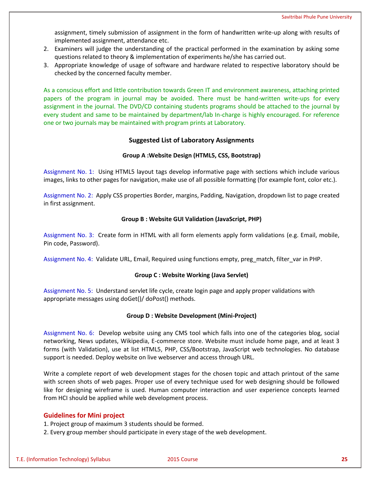assignment, timely submission of assignment in the form of handwritten write-up along with results of implemented assignment, attendance etc.

- 2. Examiners will judge the understanding of the practical performed in the examination by asking some questions related to theory & implementation of experiments he/she has carried out.
- 3. Appropriate knowledge of usage of software and hardware related to respective laboratory should be checked by the concerned faculty member.

As a conscious effort and little contribution towards Green IT and environment awareness, attaching printed papers of the program in journal may be avoided. There must be hand-written write-ups for every assignment in the journal. The DVD/CD containing students programs should be attached to the journal by every student and same to be maintained by department/lab In-charge is highly encouraged. For reference one or two journals may be maintained with program prints at Laboratory.

# **Suggested List of Laboratory Assignments**

# **Group A :Website Design (HTML5, CSS, Bootstrap)**

Assignment No. 1: Using HTML5 layout tags develop informative page with sections which include various images, links to other pages for navigation, make use of all possible formatting (for example font, color etc.).

Assignment No. 2: Apply CSS properties Border, margins, Padding, Navigation, dropdown list to page created in first assignment.

# **Group B : Website GUI Validation (JavaScript, PHP)**

Assignment No. 3: Create form in HTML with all form elements apply form validations (e.g. Email, mobile, Pin code, Password).

Assignment No. 4: Validate URL, Email, Required using functions empty, preg\_match, filter\_var in PHP.

# **Group C : Website Working (Java Servlet)**

Assignment No. 5: Understand servlet life cycle, create login page and apply proper validations with appropriate messages using doGet()/ doPost() methods.

# **Group D : Website Development (Mini-Project)**

Assignment No. 6: Develop website using any CMS tool which falls into one of the categories blog, social networking, News updates, Wikipedia, E-commerce store. Website must include home page, and at least 3 forms (with Validation), use at list HTML5, PHP, CSS/Bootstrap, JavaScript web technologies. No database support is needed. Deploy website on live webserver and access through URL.

Write a complete report of web development stages for the chosen topic and attach printout of the same with screen shots of web pages. Proper use of every technique used for web designing should be followed like for designing wireframe is used. Human computer interaction and user experience concepts learned from HCI should be applied while web development process.

# **Guidelines for Mini project**

1. Project group of maximum 3 students should be formed.

2. Every group member should participate in every stage of the web development.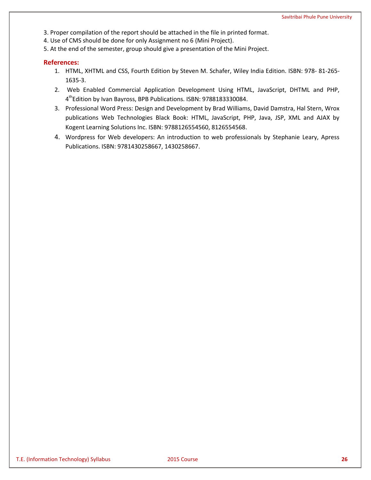- 3. Proper compilation of the report should be attached in the file in printed format.
- 4. Use of CMS should be done for only Assignment no 6 (Mini Project).
- 5. At the end of the semester, group should give a presentation of the Mini Project.

# **References:**

- 1. HTML, XHTML and CSS, Fourth Edition by Steven M. Schafer, Wiley India Edition. ISBN: 978- 81-265- 1635-3.
- 2. Web Enabled Commercial Application Development Using HTML, JavaScript, DHTML and PHP, 4 thEdition by Ivan Bayross, BPB Publications. ISBN: 9788183330084.
- 3. Professional Word Press: Design and Development by Brad Williams, David Damstra, Hal Stern, Wrox publications Web Technologies Black Book: HTML, JavaScript, PHP, Java, JSP, XML and AJAX by Kogent Learning Solutions Inc. ISBN: 9788126554560, 8126554568.
- 4. Wordpress for Web developers: An introduction to web professionals by Stephanie Leary, Apress Publications. ISBN: 9781430258667, 1430258667.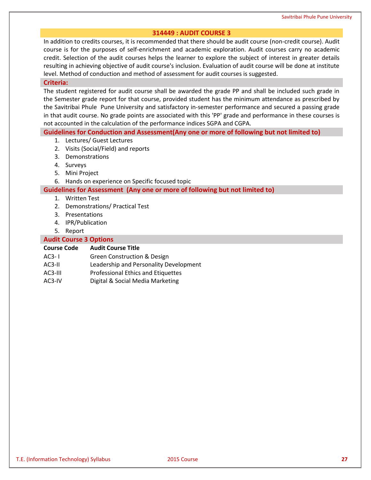# **314449 : AUDIT COURSE 3**

In addition to credits courses, it is recommended that there should be audit course (non-credit course). Audit course is for the purposes of self-enrichment and academic exploration. Audit courses carry no academic credit. Selection of the audit courses helps the learner to explore the subject of interest in greater details resulting in achieving objective of audit course's inclusion. Evaluation of audit course will be done at institute level. Method of conduction and method of assessment for audit courses is suggested.

### **Criteria:**

The student registered for audit course shall be awarded the grade PP and shall be included such grade in the Semester grade report for that course, provided student has the minimum attendance as prescribed by the Savitribai Phule Pune University and satisfactory in-semester performance and secured a passing grade in that audit course. No grade points are associated with this 'PP' grade and performance in these courses is not accounted in the calculation of the performance indices SGPA and CGPA.

# **Guidelines for Conduction and Assessment(Any one or more of following but not limited to)**

- 1. Lectures/ Guest Lectures
- 2. Visits (Social/Field) and reports
- 3. Demonstrations
- 4. Surveys
- 5. Mini Project
- 6. Hands on experience on Specific focused topic

### **Guidelines for Assessment (Any one or more of following but not limited to)**

- 1. Written Test
- 2. Demonstrations/ Practical Test
- 3. Presentations
- 4. IPR/Publication
- 5. Report

### **Audit Course 3 Options**

### **Course Code Audit Course Title**

- AC3- I Green Construction & Design
- AC3-II Leadership and Personality Development
- AC3-III Professional Ethics and Etiquettes
- AC3-IV Digital & Social Media Marketing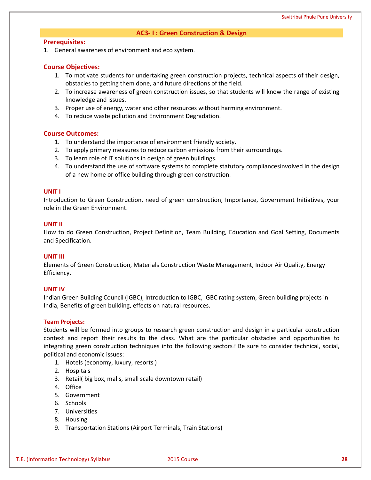# **AC3- I : Green Construction & Design**

# **Prerequisites:**

1. General awareness of environment and eco system.

# **Course Objectives:**

- 1. To motivate students for undertaking green construction projects, technical aspects of their design, obstacles to getting them done, and future directions of the field.
- 2. To increase awareness of green construction issues, so that students will know the range of existing knowledge and issues.
- 3. Proper use of energy, water and other resources without harming environment.
- 4. To reduce waste pollution and Environment Degradation.

# **Course Outcomes:**

- 1. To understand the importance of environment friendly society.
- 2. To apply primary measures to reduce carbon emissions from their surroundings.
- 3. To learn role of IT solutions in design of green buildings.
- 4. To understand the use of software systems to complete statutory compliancesinvolved in the design of a new home or office building through green construction.

# **UNIT I**

Introduction to Green Construction, need of green construction, Importance, Government Initiatives, your role in the Green Environment.

### **UNIT II**

How to do Green Construction, Project Definition, Team Building, Education and Goal Setting, Documents and Specification.

# **UNIT III**

Elements of Green Construction, Materials Construction Waste Management, Indoor Air Quality, Energy Efficiency.

# **UNIT IV**

Indian Green Building Council (IGBC), Introduction to IGBC, IGBC rating system, Green building projects in India, Benefits of green building, effects on natural resources.

# **Team Projects:**

Students will be formed into groups to research green construction and design in a particular construction context and report their results to the class. What are the particular obstacles and opportunities to integrating green construction techniques into the following sectors? Be sure to consider technical, social, political and economic issues:

- 1. Hotels (economy, luxury, resorts )
- 2. Hospitals
- 3. Retail( big box, malls, small scale downtown retail)
- 4. Office
- 5. Government
- 6. Schools
- 7. Universities
- 8. Housing
- 9. Transportation Stations (Airport Terminals, Train Stations)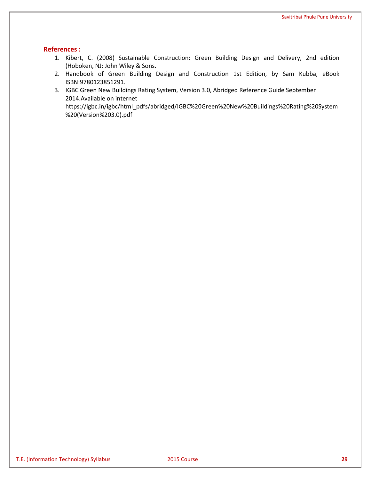# **References :**

- 1. Kibert, C. (2008) Sustainable Construction: Green Building Design and Delivery, 2nd edition (Hoboken, NJ: John Wiley & Sons.
- 2. Handbook of Green Building Design and Construction 1st Edition, by Sam Kubba, eBook ISBN:9780123851291.
- 3. IGBC Green New Buildings Rating System, Version 3.0, Abridged Reference Guide September 2014.Available on internet https://igbc.in/igbc/html\_pdfs/abridged/IGBC%20Green%20New%20Buildings%20Rating%20System %20(Version%203.0).pdf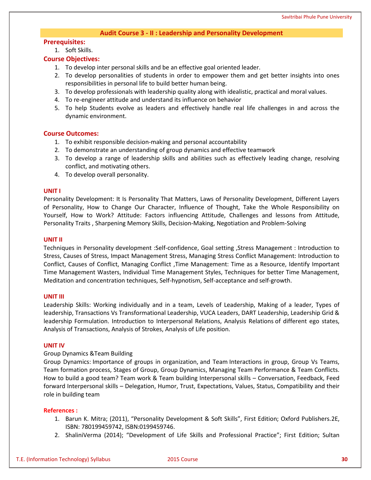# **Audit Course 3 - II : Leadership and Personality Development**

### **Prerequisites:**

1. Soft Skills.

# **Course Objectives:**

- 1. To develop inter personal skills and be an effective goal oriented leader.
- 2. To develop personalities of students in order to empower them and get better insights into ones responsibilities in personal life to build better human being.
- 3. To develop professionals with leadership quality along with idealistic, practical and moral values.
- 4. To re-engineer attitude and understand its influence on behavior
- 5. To help Students evolve as leaders and effectively handle real life challenges in and across the dynamic environment.

# **Course Outcomes:**

- 1. To exhibit responsible decision-making and personal accountability
- 2. To demonstrate an understanding of group dynamics and effective teamwork
- 3. To develop a range of leadership skills and abilities such as effectively leading change, resolving conflict, and motivating others.
- 4. To develop overall personality.

### **UNIT I**

Personality Development: It Is Personality That Matters, Laws of Personality Development, Different Layers of Personality, How to Change Our Character, Influence of Thought, Take the Whole Responsibility on Yourself, How to Work? Attitude: Factors influencing Attitude, Challenges and lessons from Attitude, Personality Traits , Sharpening Memory Skills, Decision-Making, Negotiation and Problem-Solving

### **UNIT II**

Techniques in Personality development :Self-confidence, Goal setting ,Stress Management : Introduction to Stress, Causes of Stress, Impact Management Stress, Managing Stress Conflict Management: Introduction to Conflict, Causes of Conflict, Managing Conflict ,Time Management: Time as a Resource, Identify Important Time Management Wasters, Individual Time Management Styles, Techniques for better Time Management, Meditation and concentration techniques, Self-hypnotism, Self-acceptance and self-growth.

#### **UNIT III**

Leadership Skills: Working individually and in a team, Levels of Leadership, Making of a leader, Types of leadership, Transactions Vs Transformational Leadership, VUCA Leaders, DART Leadership, Leadership Grid & leadership Formulation. Introduction to Interpersonal Relations, Analysis Relations of different ego states, Analysis of Transactions, Analysis of Strokes, Analysis of Life position.

### **UNIT IV**

### Group Dynamics &Team Building

Group Dynamics: Importance of groups in organization, and Team Interactions in group, Group Vs Teams, Team formation process, Stages of Group, Group Dynamics, Managing Team Performance & Team Conflicts. How to build a good team? Team work & Team building Interpersonal skills – Conversation, Feedback, Feed forward Interpersonal skills – Delegation, Humor, Trust, Expectations, Values, Status, Compatibility and their role in building team

### **References :**

- 1. Barun K. Mitra; (2011), "Personality Development & Soft Skills", First Edition; Oxford Publishers.2E, ISBN: 780199459742, ISBN:0199459746.
- 2. ShaliniVerma (2014); "Development of Life Skills and Professional Practice"; First Edition; Sultan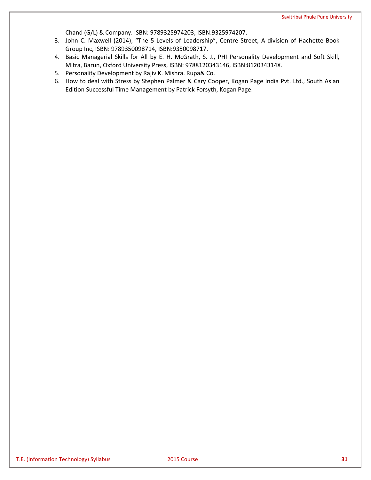Chand (G/L) & Company. ISBN: 9789325974203, ISBN:9325974207.

- 3. John C. Maxwell (2014); "The 5 Levels of Leadership", Centre Street, A division of Hachette Book Group Inc, ISBN: 9789350098714, ISBN:9350098717.
- 4. Basic Managerial Skills for All by E. H. McGrath, S. J., PHI Personality Development and Soft Skill, Mitra, Barun, Oxford University Press, ISBN: 9788120343146, ISBN:812034314X.
- 5. Personality Development by Rajiv K. Mishra. Rupa& Co.
- 6. How to deal with Stress by Stephen Palmer & Cary Cooper, Kogan Page India Pvt. Ltd., South Asian Edition Successful Time Management by Patrick Forsyth, Kogan Page.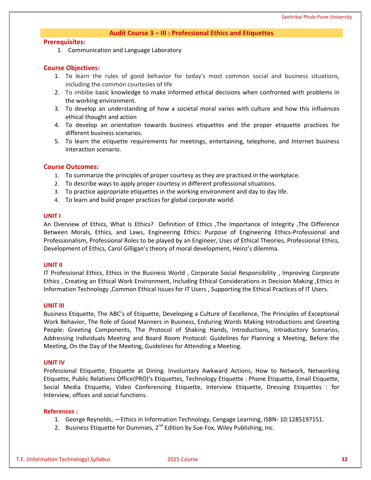### **Audit Course 3 – III : Professional Ethics and Etiquettes**

# **Prerequisites:**

1. Communication and Language Laboratory

### **Course Objectives:**

- 1. To learn the rules of good behavior for today's most common social and business situations, including the common courtesies of life
- 2. To imbibe basic knowledge to make informed ethical decisions when confronted with problems in the working environment.
- 3. To develop an understanding of how a societal moral varies with culture and how this influences ethical thought and action
- 4. To develop an orientation towards business etiquettes and the proper etiquette practices for different business scenarios.
- 5. To learn the etiquette requirements for meetings, entertaining, telephone, and Internet business interaction scenario.

### **Course Outcomes:**

- 1. To summarize the principles of proper courtesy as they are practiced in the workplace.
- 2. To describe ways to apply proper courtesy in different professional situations.
- 3. To practice appropriate etiquettes in the working environment and day to day life.
- 4. To learn and build proper practices for global corporate world.

### **UNIT I**

An Overview of Ethics, What Is Ethics? Definition of Ethics ,The Importance of Integrity ,The Difference Between Morals, Ethics, and Laws, Engineering Ethics: Purpose of Engineering Ethics-Professional and Professionalism, Professional Roles to be played by an Engineer, Uses of Ethical Theories, Professional Ethics, Development of Ethics, Carol Gilligan's theory of moral development, Heinz's dilemma.

### **UNIT II**

IT Professional Ethics, Ethics in the Business World , Corporate Social Responsibility , Improving Corporate Ethics , Creating an Ethical Work Environment, Including Ethical Considerations in Decision Making ,Ethics in Information Technology ,Common Ethical Issues for IT Users , Supporting the Ethical Practices of IT Users.

#### **UNIT III**

Business Etiquette, The ABC's of Etiquette, Developing a Culture of Excellence, The Principles of Exceptional Work Behavior, The Role of Good Manners in Business, Enduring Words Making Introductions and Greeting People: Greeting Components, The Protocol of Shaking Hands, Introductions, Introductory Scenarios, Addressing Individuals Meeting and Board Room Protocol: Guidelines for Planning a Meeting, Before the Meeting, On the Day of the Meeting, Guidelines for Attending a Meeting.

#### **UNIT IV**

Professional Etiquette, Etiquette at Dining. Involuntary Awkward Actions, How to Network, Networking Etiquette, Public Relations Office(PRO)'s Etiquettes, Technology Etiquette : Phone Etiquette, Email Etiquette, Social Media Etiquette, Video Conferencing Etiquette, Interview Etiquette, Dressing Etiquettes : for Interview, offices and social functions.

### **References :**

- 1. George Reynolds, ―Ethics in Information Technology, Cengage Learning, ISBN- 10:1285197151.
- 2. Business Etiquette for Dummies, 2<sup>nd</sup> Edition by Sue Fox, Wiley Publishing, Inc.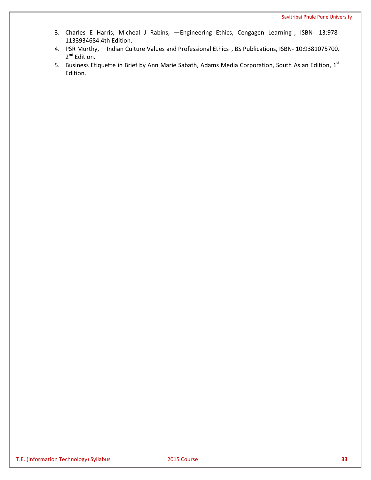- 3. Charles E Harris, Micheal J Rabins, -Engineering Ethics, Cengagen Learning, ISBN- 13:978-1133934684.4th Edition.
- 4. PSR Murthy, —Indian Culture Values and Professional Ethics, BS Publications, ISBN- 10:9381075700. 2<sup>nd</sup> Edition.
- 5. Business Etiquette in Brief by Ann Marie Sabath, Adams Media Corporation, South Asian Edition, 1st Edition.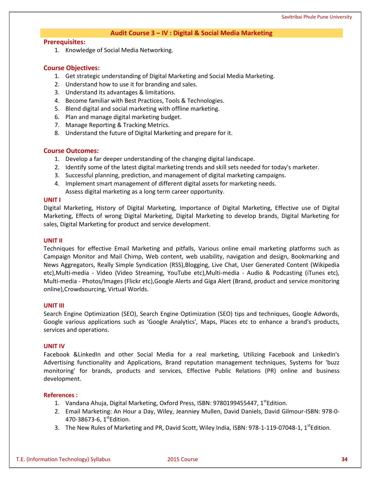# **Audit Course 3 – IV : Digital & Social Media Marketing**

# **Prerequisites:**

1. Knowledge of Social Media Networking.

# **Course Objectives:**

- 1. Get strategic understanding of Digital Marketing and Social Media Marketing.
- 2. Understand how to use it for branding and sales.
- 3. Understand its advantages & limitations.
- 4. Become familiar with Best Practices, Tools & Technologies.
- 5. Blend digital and social marketing with offline marketing.
- 6. Plan and manage digital marketing budget.
- 7. Manage Reporting & Tracking Metrics.
- 8. Understand the future of Digital Marketing and prepare for it.

# **Course Outcomes:**

- 1. Develop a far deeper understanding of the changing digital landscape.
- 2. Identify some of the latest digital marketing trends and skill sets needed for today's marketer.
- 3. Successful planning, prediction, and management of digital marketing campaigns.
- 4. Implement smart management of different digital assets for marketing needs.
	- Assess digital marketing as a long term career opportunity.

# **UNIT I**

Digital Marketing, History of Digital Marketing, Importance of Digital Marketing, Effective use of Digital Marketing, Effects of wrong Digital Marketing, Digital Marketing to develop brands, Digital Marketing for sales, Digital Marketing for product and service development.

# **UNIT II**

Techniques for effective Email Marketing and pitfalls, Various online email marketing platforms such as Campaign Monitor and Mail Chimp, Web content, web usability, navigation and design, Bookmarking and News Aggregators, Really Simple Syndication (RSS),Blogging, Live Chat, User Generated Content (Wikipedia etc),Multi-media - Video (Video Streaming, YouTube etc),Multi-media - Audio & Podcasting (iTunes etc), Multi-media - Photos/Images (Flickr etc),Google Alerts and Giga Alert (Brand, product and service monitoring online),Crowdsourcing, Virtual Worlds.

# **UNIT III**

Search Engine Optimization (SEO), Search Engine Optimization (SEO) tips and techniques, Google Adwords, Google various applications such as 'Google Analytics', Maps, Places etc to enhance a brand's products, services and operations.

# **UNIT IV**

Facebook & LinkedIn and other Social Media for a real marketing, Utilizing Facebook and LinkedIn's Advertising functionality and Applications, Brand reputation management techniques, Systems for 'buzz monitoring' for brands, products and services, Effective Public Relations (PR) online and business development.

# **References :**

- 1. Vandana Ahuja, Digital Marketing, Oxford Press, ISBN: 9780199455447, 1<sup>st</sup>Edition.
- 2. Email Marketing: An Hour a Day, Wiley, Jeanniey Mullen, David Daniels, David Gilmour-ISBN: 978-0- 470-38673-6, 1<sup>st</sup>Edition.
- 3. The New Rules of Marketing and PR, David Scott, Wiley India, ISBN: 978-1-119-07048-1, 1<sup>st</sup>Edition.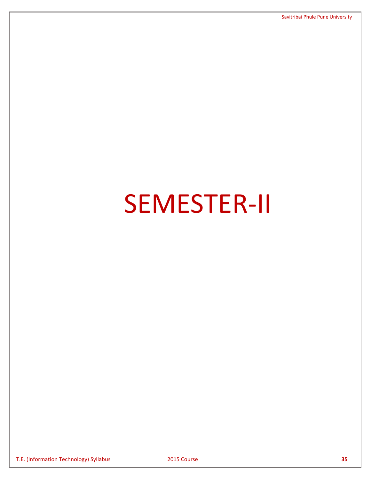# SEMESTER-II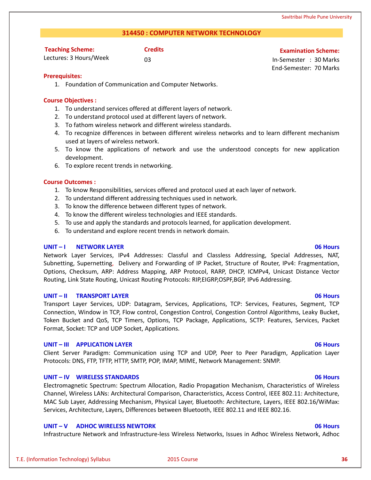# **314450 : COMPUTER NETWORK TECHNOLOGY**

| <b>Teaching Scheme:</b> | <b>Credits</b> |
|-------------------------|----------------|
| Lectures: 3 Hours/Week  | 03             |

**Examination Scheme:** 

03 In-Semester : 30 Marks End-Semester: 70 Marks

# **Prerequisites:**

1. Foundation of Communication and Computer Networks.

# **Course Objectives :**

- 1. To understand services offered at different layers of network.
- 2. To understand protocol used at different layers of network.
- 3. To fathom wireless network and different wireless standards.
- 4. To recognize differences in between different wireless networks and to learn different mechanism used at layers of wireless network.
- 5. To know the applications of network and use the understood concepts for new application development.
- 6. To explore recent trends in networking.

# **Course Outcomes :**

- 1. To know Responsibilities, services offered and protocol used at each layer of network.
- 2. To understand different addressing techniques used in network.
- 3. To know the difference between different types of network.
- 4. To know the different wireless technologies and IEEE standards.
- 5. To use and apply the standards and protocols learned, for application development.
- 6. To understand and explore recent trends in network domain.

# **UNIT – I NETWORK LAYER 06 Hours**

Network Layer Services, IPv4 Addresses: Classful and Classless Addressing, Special Addresses, NAT, Subnetting, Supernetting, Delivery and Forwarding of IP Packet, Structure of Router, IPv4: Fragmentation, Options, Checksum, ARP: Address Mapping, ARP Protocol, RARP, DHCP, ICMPv4, Unicast Distance Vector Routing, Link State Routing, Unicast Routing Protocols: RIP,EIGRP,OSPF,BGP, IPv6 Addressing.

# **UNIT – II TRANSPORT LAYER 06 Hours**

Transport Layer Services, UDP: Datagram, Services, Applications, TCP: Services, Features, Segment, TCP Connection, Window in TCP, Flow control, Congestion Control, Congestion Control Algorithms, Leaky Bucket, Token Bucket and QoS, TCP Timers, Options, TCP Package, Applications, SCTP: Features, Services, Packet Format, Socket: TCP and UDP Socket, Applications.

# **UNIT – III APPLICATION LAYER 06 Hours**

Client Server Paradigm: Communication using TCP and UDP, Peer to Peer Paradigm, Application Layer Protocols: DNS, FTP, TFTP, HTTP, SMTP, POP, IMAP, MIME, Network Management: SNMP.

# **UNIT – IV WIRELESS STANDARDS 06 Hours**

Electromagnetic Spectrum: Spectrum Allocation, Radio Propagation Mechanism, Characteristics of Wireless Channel, Wireless LANs: Architectural Comparison, Characteristics, Access Control, IEEE 802.11: Architecture, MAC Sub Layer, Addressing Mechanism, Physical Layer, Bluetooth: Architecture, Layers, IEEE 802.16/WiMax: Services, Architecture, Layers, Differences between Bluetooth, IEEE 802.11 and IEEE 802.16.

# **UNIT – V ADHOC WIRELESS NEWTORK 06 Hours**

Infrastructure Network and Infrastructure-less Wireless Networks, Issues in Adhoc Wireless Network, Adhoc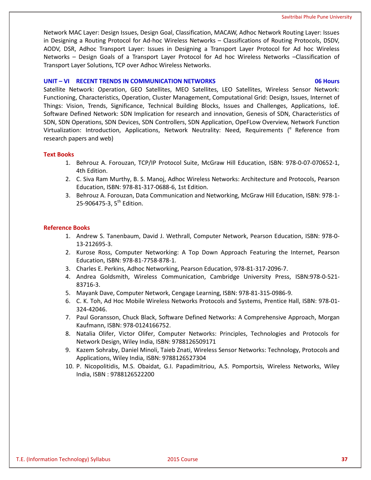Network MAC Layer: Design Issues, Design Goal, Classification, MACAW, Adhoc Network Routing Layer: Issues in Designing a Routing Protocol for Ad-hoc Wireless Networks – Classifications of Routing Protocols, DSDV, AODV, DSR, Adhoc Transport Layer: Issues in Designing a Transport Layer Protocol for Ad hoc Wireless Networks – Design Goals of a Transport Layer Protocol for Ad hoc Wireless Networks –Classification of Transport Layer Solutions, TCP over Adhoc Wireless Networks.

# **UNIT – VI RECENT TRENDS IN COMMUNICATION NETWORKS 06 Hours**

Satellite Network: Operation, GEO Satellites, MEO Satellites, LEO Satellites, Wireless Sensor Network: Functioning, Characteristics, Operation, Cluster Management, Computational Grid: Design, Issues, Internet of Things: Vision, Trends, Significance, Technical Building Blocks, Issues and Challenges, Applications, IoE. Software Defined Network: SDN Implication for research and innovation, Genesis of SDN, Characteristics of SDN, SDN Operations, SDN Devices, SDN Controllers, SDN Application, OpeFLow Overview, Network Function Virtualization: Introduction, Applications, Network Neutrality: Need, Requirements (<sup>e</sup> Reference from research papers and web)

# **Text Books**

- 1. Behrouz A. Forouzan, TCP/IP Protocol Suite, McGraw Hill Education, ISBN: 978-0-07-070652-1, 4th Edition.
- 2. C. Siva Ram Murthy, B. S. Manoj, Adhoc Wireless Networks: Architecture and Protocols, Pearson Education, ISBN: 978-81-317-0688-6, 1st Edition.
- 3. Behrouz A. Forouzan, Data Communication and Networking, McGraw Hill Education, ISBN: 978-1- 25-906475-3, 5<sup>th</sup> Edition.

# **Reference Books**

- 1. Andrew S. Tanenbaum, David J. Wethrall, Computer Network, Pearson Education, ISBN: 978-0- 13-212695-3.
- 2. Kurose Ross, Computer Networking: A Top Down Approach Featuring the Internet, Pearson Education, ISBN: 978-81-7758-878-1.
- 3. Charles E. Perkins, Adhoc Networking, Pearson Education, 978-81-317-2096-7.
- 4. Andrea Goldsmith, Wireless Communication, Cambridge University Press, ISBN:978-0-521- 83716-3.
- 5. Mayank Dave, Computer Network, Cengage Learning, ISBN: 978-81-315-0986-9.
- 6. C. K. Toh, Ad Hoc Mobile Wireless Networks Protocols and Systems, Prentice Hall, ISBN: 978-01- 324-42046.
- 7. Paul Goransson, Chuck Black, Software Defined Networks: A Comprehensive Approach, Morgan Kaufmann, ISBN: 978-0124166752.
- 8. Natalia Olifer, Victor Olifer, Computer Networks: Principles, Technologies and Protocols for Network Design, Wiley India, ISBN: 9788126509171
- 9. Kazem Sohraby, Daniel Minoli, Taieb Znati, Wireless Sensor Networks: Technology, Protocols and Applications, Wiley India, ISBN: 9788126527304
- 10. P. Nicopolitidis, M.S. Obaidat, G.I. Papadimitriou, A.S. Pomportsis, Wireless Networks, Wiley India, ISBN : 9788126522200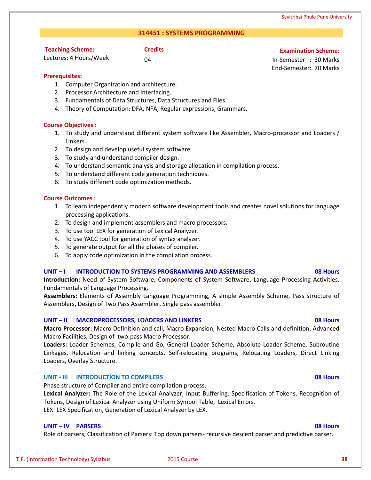# **314451 : SYSTEMS PROGRAMMING**

# **Teaching Scheme:**

Lectures: 4 Hours/Week

# **Credits Examination Scheme:**

04 In-Semester : 30 Marks End-Semester: 70 Marks

# **Prerequisites:**

- 1. Computer Organization and architecture.
- 2. Processor Architecture and Interfacing.
- 3. Fundamentals of Data Structures, Data Structures and Files.
- 4. Theory of Computation: DFA, NFA, Regular expressions, Grammars.

# **Course Objectives :**

- 1. To study and understand different system software like Assembler, Macro-processor and Loaders / Linkers.
- 2. To design and develop useful system software.
- 3. To study and understand compiler design.
- 4. To understand semantic analysis and storage allocation in compilation process.
- 5. To understand different code generation techniques.
- 6. To study different code optimization methods.

# **Course Outcomes :**

- 1. To learn independently modern software development tools and creates novel solutions for language processing applications.
- 2. To design and implement assemblers and macro processors.
- 3. To use tool LEX for generation of Lexical Analyzer.
- 4. To use YACC tool for generation of syntax analyzer.
- 5. To generate output for all the phases of compiler.
- 6. To apply code optimization in the compilation process.

# **UNIT – I INTRODUCTION TO SYSTEMS PROGRAMMING AND ASSEMBLERS 08 Hours**

**Introduction:** Need of System Software, Components of System Software, Language Processing Activities, Fundamentals of Language Processing.

**Assemblers:** Elements of Assembly Language Programming, A simple Assembly Scheme, Pass structure of Assemblers, Design of Two Pass Assembler, Single pass assembler.

# **UNIT – II MACROPROCESSORS, LOADERS AND LINKERS 08 Hours**

**Macro Processor:** Macro Definition and call, Macro Expansion, Nested Macro Calls and definition, Advanced Macro Facilities, Design of two-pass Macro Processor.

**Loaders:** Loader Schemes, Compile and Go, General Loader Scheme, Absolute Loader Scheme, Subroutine Linkages, Relocation and linking concepts, Self-relocating programs, Relocating Loaders, Direct Linking Loaders, Overlay Structure.

# **UNIT - III INTRODUCTION TO COMPILERS 08 Hours**

Phase structure of Compiler and entire compilation process.

**Lexical Analyzer:** The Role of the Lexical Analyzer, Input Buffering. Specification of Tokens, Recognition of Tokens, Design of Lexical Analyzer using Uniform Symbol Table, Lexical Errors.

LEX: LEX Specification, Generation of Lexical Analyzer by LEX.

# **UNIT – IV PARSERS 08 Hours**

Role of parsers, Classification of Parsers: Top down parsers- recursive descent parser and predictive parser.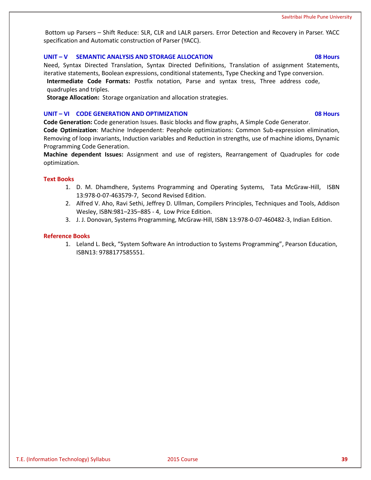Bottom up Parsers – Shift Reduce: SLR, CLR and LALR parsers. Error Detection and Recovery in Parser. YACC specification and Automatic construction of Parser (YACC).

# **UNIT – V SEMANTIC ANALYSIS AND STORAGE ALLOCATION 08 Hours**

Need, Syntax Directed Translation, Syntax Directed Definitions, Translation of assignment Statements, iterative statements, Boolean expressions, conditional statements, Type Checking and Type conversion. **Intermediate Code Formats:** Postfix notation, Parse and syntax tress, Three address code, quadruples and triples.

**Storage Allocation:** Storage organization and allocation strategies.

### **UNIT – VI CODE GENERATION AND OPTIMIZATION 08 Hours**

**Code Generation:** Code generation Issues. Basic blocks and flow graphs, A Simple Code Generator.

**Code Optimization**: Machine Independent: Peephole optimizations: Common Sub-expression elimination, Removing of loop invariants, Induction variables and Reduction in strengths, use of machine idioms, Dynamic Programming Code Generation.

**Machine dependent Issues:** Assignment and use of registers, Rearrangement of Quadruples for code optimization.

### **Text Books**

- 1. D. M. Dhamdhere, Systems Programming and Operating Systems, Tata McGraw-Hill, ISBN 13:978-0-07-463579-7, Second Revised Edition.
- 2. Alfred V. Aho, Ravi Sethi, Jeffrey D. Ullman, Compilers Principles, Techniques and Tools, Addison Wesley, ISBN:981–235–885 - 4, Low Price Edition.
- 3. J. J. Donovan, Systems Programming, McGraw-Hill, ISBN 13:978-0-07-460482-3, Indian Edition.

### **Reference Books**

1. Leland L. Beck, "System Software An introduction to Systems Programming", Pearson Education, ISBN13: 9788177585551.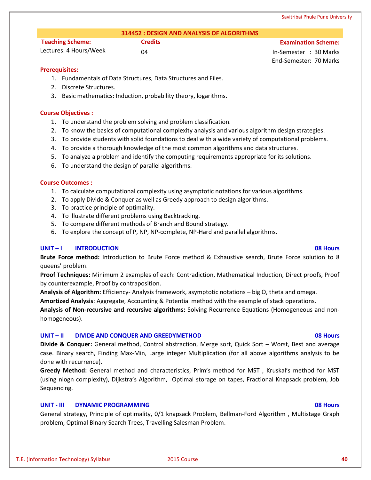# **314452 : DESIGN AND ANALYSIS OF ALGORITHMS**

# **Teaching Scheme:**

Lectures: 4 Hours/Week

**Credits Examination Scheme:**

04 In-Semester : 30 Marks End-Semester: 70 Marks

# **Prerequisites:**

- 1. Fundamentals of Data Structures, Data Structures and Files.
- 2. Discrete Structures.
- 3. Basic mathematics: Induction, probability theory, logarithms.

# **Course Objectives :**

- 1. To understand the problem solving and problem classification.
- 2. To know the basics of computational complexity analysis and various algorithm design strategies.
- 3. To provide students with solid foundations to deal with a wide variety of computational problems.
- 4. To provide a thorough knowledge of the most common algorithms and data structures.
- 5. To analyze a problem and identify the computing requirements appropriate for its solutions.
- 6. To understand the design of parallel algorithms.

# **Course Outcomes :**

- 1. To calculate computational complexity using asymptotic notations for various algorithms.
- 2. To apply Divide & Conquer as well as Greedy approach to design algorithms.
- 3. To practice principle of optimality.
- 4. To illustrate different problems using Backtracking.
- 5. To compare different methods of Branch and Bound strategy.
- 6. To explore the concept of P, NP, NP-complete, NP-Hard and parallel algorithms.

# **UNIT – I INTRODUCTION 08 Hours**

**Brute Force method:** Introduction to Brute Force method & Exhaustive search, Brute Force solution to 8 queens' problem.

**Proof Techniques:** Minimum 2 examples of each: Contradiction, Mathematical Induction, Direct proofs, Proof by counterexample, Proof by contraposition.

**Analysis of Algorithm:** Efficiency- Analysis framework, asymptotic notations – big O, theta and omega.

**Amortized Analysis**: Aggregate, Accounting & Potential method with the example of stack operations.

**Analysis of Non-recursive and recursive algorithms:** Solving Recurrence Equations (Homogeneous and nonhomogeneous).

# **UNIT – II DIVIDE AND CONQUER AND GREEDYMETHOD 08 Hours**

**Divide & Conquer:** General method, Control abstraction, Merge sort, Quick Sort – Worst, Best and average case. Binary search, Finding Max-Min, Large integer Multiplication (for all above algorithms analysis to be done with recurrence).

**Greedy Method:** General method and characteristics, Prim's method for MST , Kruskal's method for MST (using nlogn complexity), Dijkstra's Algorithm, Optimal storage on tapes, Fractional Knapsack problem, Job Sequencing.

# **UNIT - III DYNAMIC PROGRAMMING 08 Hours**

General strategy, Principle of optimality, 0/1 knapsack Problem, Bellman-Ford Algorithm , Multistage Graph problem, Optimal Binary Search Trees, Travelling Salesman Problem.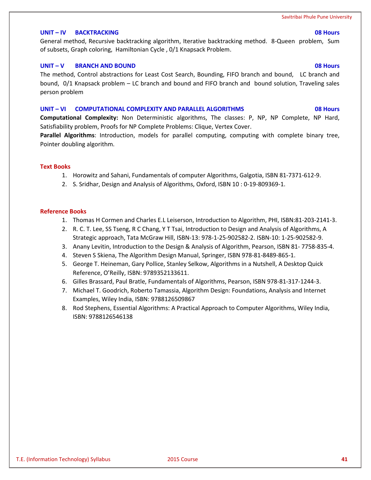### **UNIT – IV BACKTRACKING 08 Hours**

General method, Recursive backtracking algorithm, Iterative backtracking method. 8-Queen problem, Sum of subsets, Graph coloring, Hamiltonian Cycle , 0/1 Knapsack Problem.

### **UNIT – V BRANCH AND BOUND 08 Hours**

The method, Control abstractions for Least Cost Search, Bounding, FIFO branch and bound, LC branch and bound, 0/1 Knapsack problem – LC branch and bound and FIFO branch and bound solution, Traveling sales person problem

### **UNIT – VI COMPUTATIONAL COMPLEXITY AND PARALLEL ALGORITHMS 08 Hours**

**Computational Complexity:** Non Deterministic algorithms, The classes: P, NP, NP Complete, NP Hard, Satisfiability problem, Proofs for NP Complete Problems: Clique, Vertex Cover.

**Parallel Algorithms**: Introduction, models for parallel computing, computing with complete binary tree, Pointer doubling algorithm.

# **Text Books**

- 1. Horowitz and Sahani, Fundamentals of computer Algorithms, Galgotia, ISBN 81-7371-612-9.
- 2. S. Sridhar, Design and Analysis of Algorithms, Oxford, ISBN 10 : 0-19-809369-1.

### **Reference Books**

- 1. Thomas H Cormen and Charles E.L Leiserson, Introduction to Algorithm, PHI, ISBN:81-203-2141-3.
- 2. R. C. T. Lee, SS Tseng, R C Chang, Y T Tsai, Introduction to Design and Analysis of Algorithms, A Strategic approach, Tata McGraw Hill, ISBN-13: 978-1-25-902582-2. ISBN-10: 1-25-902582-9.
- 3. Anany Levitin, Introduction to the Design & Analysis of Algorithm, Pearson, ISBN 81- 7758-835-4.
- 4. Steven S Skiena, The Algorithm Design Manual, Springer, ISBN 978-81-8489-865-1.
- 5. George T. Heineman, Gary Pollice, Stanley Selkow, Algorithms in a Nutshell, A Desktop Quick Reference, O'Reilly, ISBN: 9789352133611.
- 6. Gilles Brassard, Paul Bratle, Fundamentals of Algorithms, Pearson, ISBN 978-81-317-1244-3.
- 7. Michael T. Goodrich, Roberto Tamassia, Algorithm Design: Foundations, Analysis and Internet Examples, Wiley India, ISBN: 9788126509867
- 8. Rod Stephens, Essential Algorithms: A Practical Approach to Computer Algorithms, Wiley India, ISBN: 9788126546138

# T.E. (Information Technology) Syllabus 2015 Course **41**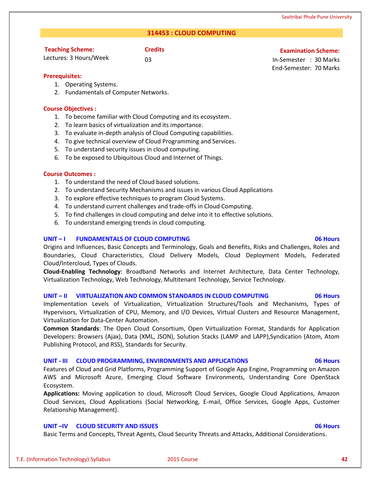# Savitribai Phule Pune University

# **314453 : CLOUD COMPUTING**

# **Credits Examination Scheme:**

03 In-Semester : 30 Marks End-Semester: 70 Marks

# **Prerequisites:**

- 1. Operating Systems.
- 2. Fundamentals of Computer Networks.

# **Course Objectives :**

**Teaching Scheme:** Lectures: 3 Hours/Week

- 1. To become familiar with Cloud Computing and its ecosystem.
- 2. To learn basics of virtualization and its importance.
- 3. To evaluate in-depth analysis of Cloud Computing capabilities.
- 4. To give technical overview of Cloud Programming and Services.
- 5. To understand security issues in cloud computing.
- 6. To be exposed to Ubiquitous Cloud and Internet of Things.

# **Course Outcomes :**

- 1. To understand the need of Cloud based solutions.
- 2. To understand Security Mechanisms and issues in various Cloud Applications
- 3. To explore effective techniques to program Cloud Systems.
- 4. To understand current challenges and trade-offs in Cloud Computing.
- 5. To find challenges in cloud computing and delve into it to effective solutions.
- 6. To understand emerging trends in cloud computing.

# **UNIT – I FUNDAMENTALS OF CLOUD COMPUTING 06 Hours**

Origins and Influences, Basic Concepts and Terminology, Goals and Benefits, Risks and Challenges, Roles and Boundaries, Cloud Characteristics, Cloud Delivery Models, Cloud Deployment Models, Federated Cloud/Intercloud, Types of Clouds.

**Cloud-Enabling Technology**: Broadband Networks and Internet Architecture, Data Center Technology, Virtualization Technology, Web Technology, Multitenant Technology, Service Technology.

# **UNIT – II VIRTUALIZATION AND COMMON STANDARDS IN CLOUD COMPUTING 06 Hours**

Implementation Levels of Virtualization, Virtualization Structures/Tools and Mechanisms, Types of Hypervisors, Virtualization of CPU, Memory, and I/O Devices, Virtual Clusters and Resource Management, Virtualization for Data-Center Automation.

**Common Standards**: The Open Cloud Consortium, Open Virtualization Format, Standards for Application Developers: Browsers (Ajax), Data (XML, JSON), Solution Stacks (LAMP and LAPP),Syndication (Atom, Atom Publishing Protocol, and RSS), Standards for Security.

# **UNIT - III CLOUD PROGRAMMING, ENVIRONMENTS AND APPLICATIONS 06 Hours**

Features of Cloud and Grid Platforms, Programming Support of Google App Engine, Programming on Amazon AWS and Microsoft Azure, Emerging Cloud Software Environments, Understanding Core OpenStack Ecosystem.

**Applications:** Moving application to cloud, Microsoft Cloud Services, Google Cloud Applications, Amazon Cloud Services, Cloud Applications (Social Networking, E-mail, Office Services, Google Apps, Customer Relationship Management).

# **UNIT –IV CLOUD SECURITY AND ISSUES 06 Hours**

Basic Terms and Concepts, Threat Agents, Cloud Security Threats and Attacks, Additional Considerations.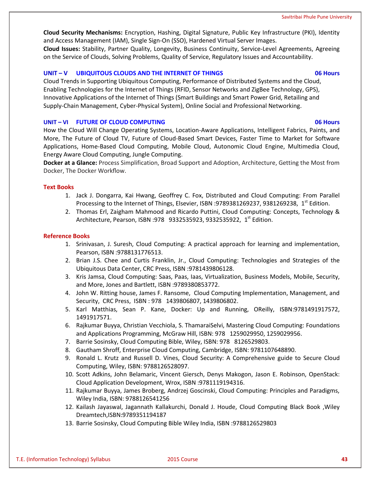**Cloud Security Mechanisms:** Encryption, Hashing, Digital Signature, Public Key Infrastructure (PKI), Identity and Access Management (IAM), Single Sign-On (SSO), Hardened Virtual Server Images. **Cloud Issues:** Stability, Partner Quality, Longevity, Business Continuity, Service-Level Agreements, Agreeing on the Service of Clouds, Solving Problems, Quality of Service, Regulatory Issues and Accountability.

# **UNIT – V UBIQUITOUS CLOUDS AND THE INTERNET OF THINGS 06 Hours**

Cloud Trends in Supporting Ubiquitous Computing, Performance of Distributed Systems and the Cloud, Enabling Technologies for the Internet of Things (RFID, Sensor Networks and ZigBee Technology, GPS), Innovative Applications of the Internet of Things (Smart Buildings and Smart Power Grid, Retailing and Supply-Chain Management, Cyber-Physical System), Online Social and Professional Networking.

### **UNIT – VI FUTURE OF CLOUD COMPUTING 06 Hours**

How the Cloud Will Change Operating Systems, Location-Aware Applications, Intelligent Fabrics, Paints, and More, The Future of Cloud TV, Future of Cloud-Based Smart Devices, Faster Time to Market for Software Applications, Home-Based Cloud Computing, Mobile Cloud, Autonomic Cloud Engine, Multimedia Cloud, Energy Aware Cloud Computing, Jungle Computing.

**Docker at a Glance:** Process Simplification, Broad Support and Adoption, Architecture, Getting the Most from Docker, The Docker Workflow.

### **Text Books**

- 1. Jack J. Dongarra, Kai Hwang, Geoffrey C. Fox, Distributed and Cloud Computing: From Parallel Processing to the Internet of Things, Elsevier, ISBN :9789381269237, 9381269238,  $1^{st}$  Edition.
- 2. Thomas Erl, Zaigham Mahmood and Ricardo Puttini, Cloud Computing: Concepts, Technology & Architecture, Pearson, ISBN :978 9332535923, 9332535922, 1<sup>st</sup> Edition.

### **Reference Books**

- 1. Srinivasan, J. Suresh, Cloud Computing: A practical approach for learning and implementation, Pearson, ISBN :9788131776513.
- 2. Brian J.S. Chee and Curtis Franklin, Jr., Cloud Computing: Technologies and Strategies of the Ubiquitous Data Center, CRC Press, ISBN :9781439806128.
- 3. Kris Jamsa, Cloud Computing: Saas, Paas, Iaas, Virtualization, Business Models, Mobile, Security, and More, Jones and Bartlett, ISBN :9789380853772.
- 4. John W. Ritting house, James F. Ransome, Cloud Computing Implementation, Management, and Security, CRC Press, ISBN : 978 1439806807, 1439806802.
- 5. Karl Matthias, Sean P. Kane, Docker: Up and Running, OReilly, ISBN:9781491917572, 1491917571.
- 6. Rajkumar Buyya, Christian Vecchiola, S. ThamaraiSelvi, Mastering Cloud Computing: Foundations and Applications Programming, McGraw Hill, ISBN: 978 1259029950, 1259029956.
- 7. Barrie Sosinsky, Cloud Computing Bible, Wiley, ISBN: 978 8126529803.
- 8. Gautham Shroff, Enterprise Cloud Computing, Cambridge, ISBN: 9781107648890.
- 9. Ronald L. Krutz and Russell D. Vines, Cloud Security: A Comprehensive guide to Secure Cloud Computing, Wiley, ISBN: 9788126528097.
- 10. Scott Adkins, John Belamaric, Vincent Giersch, Denys Makogon, Jason E. Robinson, OpenStack: Cloud Application Development, Wrox, ISBN :9781119194316.
- 11. Rajkumar Buyya, James Broberg, Andrzej Goscinski, Cloud Computing: Principles and Paradigms, Wiley India, ISBN: 9788126541256
- 12. Kailash Jayaswal, Jagannath Kallakurchi, Donald J. Houde, Cloud Computing Black Book ,Wiley Dreamtech,ISBN:9789351194187
- 13. Barrie Sosinsky, Cloud Computing Bible Wiley India, ISBN :9788126529803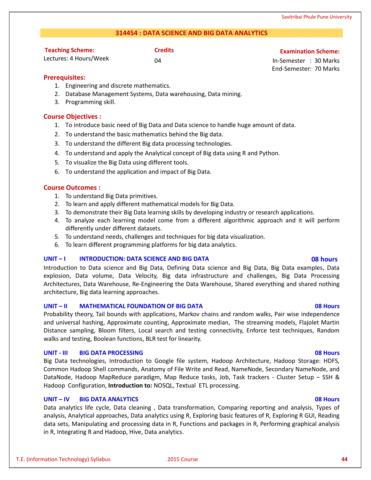# **314454 : DATA SCIENCE AND BIG DATA ANALYTICS**

| <b>Teaching Scheme:</b> |  |
|-------------------------|--|
| باموالم استول البومسية  |  |

# **Credits Examination Scheme:**

Lectures: 4 Hours/Week

04 In-Semester : 30 Marks End-Semester: 70 Marks

# **Prerequisites:**

- 1. Engineering and discrete mathematics.
- 2. Database Management Systems, Data warehousing, Data mining.
- 3. Programming skill.

# **Course Objectives :**

- 1. To introduce basic need of Big Data and Data science to handle huge amount of data.
- 2. To understand the basic mathematics behind the Big data.
- 3. To understand the different Big data processing technologies.
- 4. To understand and apply the Analytical concept of Big data using R and Python.
- 5. To visualize the Big Data using different tools.
- 6. To understand the application and impact of Big Data.

# **Course Outcomes :**

- 1. To understand Big Data primitives.
- 2. To learn and apply different mathematical models for Big Data.
- 3. To demonstrate their Big Data learning skills by developing industry or research applications.
- 4. To analyze each learning model come from a different algorithmic approach and it will perform differently under different datasets.
- 5. To understand needs, challenges and techniques for big data visualization.
- 6. To learn different programming platforms for big data analytics.

# **UNIT – I INTRODUCTION: DATA SCIENCE AND BIG DATA 08 hours**

Introduction to Data science and Big Data, Defining Data science and Big Data, Big Data examples, Data explosion, Data volume, Data Velocity, Big data infrastructure and challenges, Big Data Processing Architectures, Data Warehouse, Re-Engineering the Data Warehouse, Shared everything and shared nothing architecture, Big data learning approaches.

# **UNIT – II MATHEMATICAL FOUNDATION OF BIG DATA 08 Hours**

Probability theory, Tail bounds with applications, Markov chains and random walks, Pair wise independence and universal hashing, Approximate counting, Approximate median, The streaming models, Flajolet Martin Distance sampling, Bloom filters, Local search and testing connectivity, Enforce test techniques, Random walks and testing, Boolean functions, BLR test for linearity.

# **UNIT - III BIG DATA PROCESSING 08 Hours**

Big Data technologies, Introduction to Google file system, Hadoop Architecture, Hadoop Storage: HDFS, Common Hadoop Shell commands, Anatomy of File Write and Read, NameNode, Secondary NameNode, and DataNode, Hadoop MapReduce paradigm, Map Reduce tasks, Job, Task trackers - Cluster Setup – SSH & Hadoop Configuration, **Introduction to:** NOSQL, Textual ETL processing.

# **UNIT – IV BIG DATA ANALYTICS 08 Hours**

Data analytics life cycle, Data cleaning , Data transformation, Comparing reporting and analysis, Types of analysis, Analytical approaches, Data analytics using R, Exploring basic features of R, Exploring R GUI, Reading data sets, Manipulating and processing data in R, Functions and packages in R, Performing graphical analysis in R, Integrating R and Hadoop, Hive, Data analytics.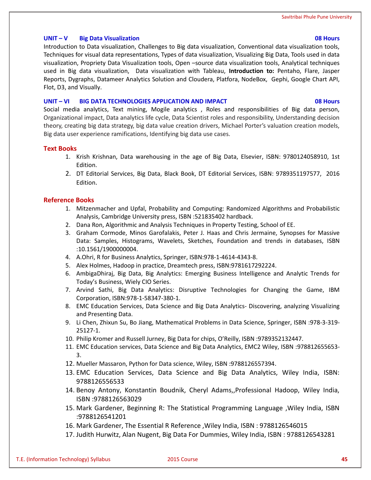# **UNIT – V Big Data Visualization 08 Hours**

Introduction to Data visualization, Challenges to Big data visualization, Conventional data visualization tools, Techniques for visual data representations, Types of data visualization, Visualizing Big Data, Tools used in data visualization, Propriety Data Visualization tools, Open –source data visualization tools, Analytical techniques used in Big data visualization, Data visualization with Tableau, **Introduction to:** Pentaho, Flare, Jasper Reports, Dygraphs, Datameer Analytics Solution and Cloudera, Platfora, NodeBox, Gephi, Google Chart API, Flot, D3, and Visually.

# **UNIT – VI BIG DATA TECHNOLOGIES APPLICATION AND IMPACT 08 Hours**

Social media analytics, Text mining, Mogile analytics , Roles and responsibilities of Big data person, Organizational impact, Data analytics life cycle, Data Scientist roles and responsibility, Understanding decision theory, creating big data strategy, big data value creation drivers, Michael Porter's valuation creation models, Big data user experience ramifications, Identifying big data use cases.

# **Text Books**

- 1. Krish Krishnan, Data warehousing in the age of Big Data, Elsevier, ISBN: 9780124058910, 1st Edition.
- 2. DT Editorial Services, Big Data, Black Book, DT Editorial Services, ISBN: 9789351197577, 2016 Edition.

# **Reference Books**

- 1. Mitzenmacher and Upfal, Probability and Computing: Randomized Algorithms and Probabilistic Analysis, Cambridge University press, ISBN :521835402 hardback.
- 2. Dana Ron, Algorithmic and Analysis Techniques in Property Testing, School of EE.
- 3. Graham Cormode, Minos Garofalakis, Peter J. Haas and Chris Jermaine, Synopses for Massive Data: Samples, Histograms, Wavelets, Sketches, Foundation and trends in databases, ISBN :10.1561/1900000004.
- 4. A.Ohri, R for Business Analytics, Springer, ISBN:978-1-4614-4343-8.
- 5. Alex Holmes, Hadoop in practice, Dreamtech press, ISBN:9781617292224.
- 6. AmbigaDhiraj, Big Data, Big Analytics: Emerging Business Intelligence and Analytic Trends for Today's Business, Wiely CIO Series.
- 7. Arvind Sathi, Big Data Analytics: Disruptive Technologies for Changing the Game, IBM Corporation, ISBN:978-1-58347-380-1.
- 8. EMC Education Services, Data Science and Big Data Analytics- Discovering, analyzing Visualizing and Presenting Data.
- 9. Li Chen, Zhixun Su, Bo Jiang, Mathematical Problems in Data Science, Springer, ISBN :978-3-319- 25127-1.
- 10. Philip Kromer and Russell Jurney, Big Data for chips, O'Reilly, ISBN :9789352132447.
- 11. EMC Education services, Data Science and Big Data Analytics, EMC2 Wiley, ISBN :978812655653- 3.
- 12. Mueller Massaron, Python for Data science, Wiley, ISBN :9788126557394.
- 13. EMC Education Services, Data Science and Big Data Analytics, Wiley India, ISBN: 9788126556533
- 14. Benoy Antony, Konstantin Boudnik, Cheryl Adams,,Professional Hadoop, Wiley India, ISBN :9788126563029
- 15. Mark Gardener, Beginning R: The Statistical Programming Language ,Wiley India, ISBN :9788126541201
- 16. Mark Gardener, The Essential R Reference ,Wiley India, ISBN : 9788126546015
- 17. Judith Hurwitz, Alan Nugent, Big Data For Dummies, Wiley India, ISBN : 9788126543281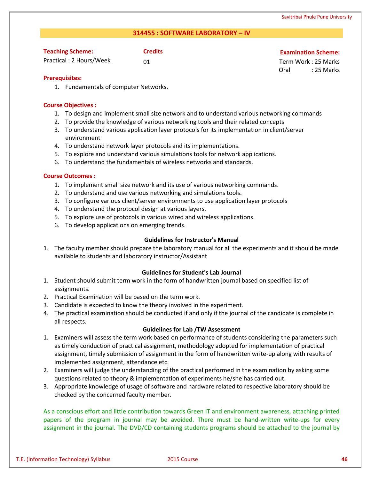# **314455 : SOFTWARE LABORATORY – IV**

| <b>Teaching Scheme:</b> | <b>Credits</b> |
|-------------------------|----------------|
| Practical: 2 Hours/Week | -01            |

### **Examination Scheme:**

01 Term Work : 25 Marks Oral : 25 Marks

# **Prerequisites:**

1. Fundamentals of computer Networks.

# **Course Objectives :**

- 1. To design and implement small size network and to understand various networking commands
- 2. To provide the knowledge of various networking tools and their related concepts
- 3. To understand various application layer protocols for its implementation in client/server environment
- 4. To understand network layer protocols and its implementations.
- 5. To explore and understand various simulations tools for network applications.
- 6. To understand the fundamentals of wireless networks and standards.

# **Course Outcomes :**

- 1. To implement small size network and its use of various networking commands.
- 2. To understand and use various networking and simulations tools.
- 3. To configure various client/server environments to use application layer protocols
- 4. To understand the protocol design at various layers.
- 5. To explore use of protocols in various wired and wireless applications.
- 6. To develop applications on emerging trends.

# **Guidelines for Instructor's Manual**

1. The faculty member should prepare the laboratory manual for all the experiments and it should be made available to students and laboratory instructor/Assistant

# **Guidelines for Student's Lab Journal**

- 1. Student should submit term work in the form of handwritten journal based on specified list of assignments.
- 2. Practical Examination will be based on the term work.
- 3. Candidate is expected to know the theory involved in the experiment.
- 4. The practical examination should be conducted if and only if the journal of the candidate is complete in all respects.

# **Guidelines for Lab /TW Assessment**

- 1. Examiners will assess the term work based on performance of students considering the parameters such as timely conduction of practical assignment, methodology adopted for implementation of practical assignment, timely submission of assignment in the form of handwritten write-up along with results of implemented assignment, attendance etc.
- 2. Examiners will judge the understanding of the practical performed in the examination by asking some questions related to theory & implementation of experiments he/she has carried out.
- 3. Appropriate knowledge of usage of software and hardware related to respective laboratory should be checked by the concerned faculty member.

As a conscious effort and little contribution towards Green IT and environment awareness, attaching printed papers of the program in journal may be avoided. There must be hand-written write-ups for every assignment in the journal. The DVD/CD containing students programs should be attached to the journal by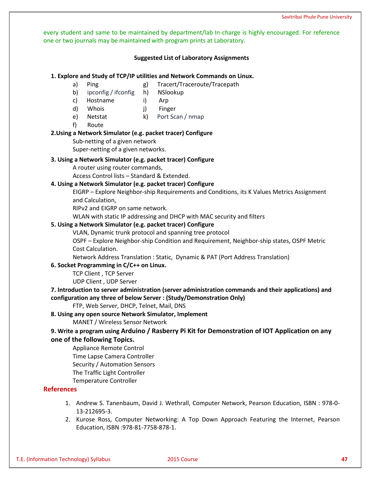every student and same to be maintained by department/lab In-charge is highly encouraged. For reference one or two journals may be maintained with program prints at Laboratory.

# **Suggested List of Laboratory Assignments**

### **1. Explore and Study of TCP/IP utilities and Network Commands on Linux.**

- 
- a) Ping g) Tracert/Traceroute/Tracepath
- b) ipconfig / ifconfig h) NSlookup
- c) Hostname i) Arp
- d) Whois j) Finger
- e) Netstat k) Port Scan / nmap
- f) Route

# **2.Using a Network Simulator (e.g. packet tracer) Configure**

Sub-netting of a given network

Super-netting of a given networks.

# **3. Using a Network Simulator (e.g. packet tracer) Configure**

A router using router commands,

Access Control lists – Standard & Extended.

# **4. Using a Network Simulator (e.g. packet tracer) Configure**

EIGRP – Explore Neighbor-ship Requirements and Conditions, its K Values Metrics Assignment and Calculation,

RIPv2 and EIGRP on same network.

WLAN with static IP addressing and DHCP with MAC security and filters

# **5. Using a Network Simulator (e.g. packet tracer) Configure**

VLAN, Dynamic trunk protocol and spanning tree protocol

OSPF – Explore Neighbor-ship Condition and Requirement, Neighbor-ship states, OSPF Metric Cost Calculation.

Network Address Translation : Static, Dynamic & PAT (Port Address Translation)

# **6. Socket Programming in C/C++ on Linux.**

TCP Client , TCP Server

UDP Client , UDP Server

# **7. Introduction to server administration (server administration commands and their applications) and configuration any three of below Server : (Study/Demonstration Only)**

FTP, Web Server, DHCP, Telnet, Mail, DNS

# **8. Using any open source Network Simulator, Implement**

MANET / Wireless Sensor Network

# **9. Write a program using Arduino / Rasberry Pi Kit for Demonstration of IOT Application on any one of the following Topics.**

Appliance Remote Control Time Lapse Camera Controller Security / Automation Sensors The Traffic Light Controller Temperature Controller

**References**

- 1. Andrew S. Tanenbaum, David J. Wethrall, Computer Network, Pearson Education, ISBN : 978-0- 13-212695-3.
- 2. Kurose Ross, Computer Networking: A Top Down Approach Featuring the Internet, Pearson Education, ISBN :978-81-7758-878-1.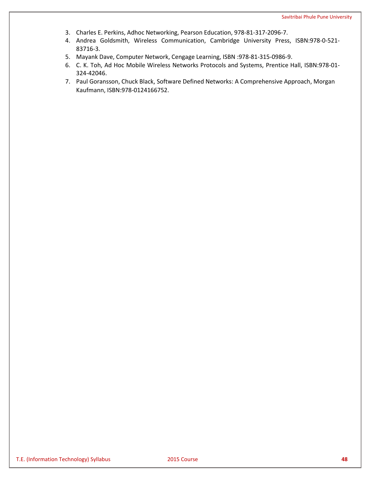- 3. Charles E. Perkins, Adhoc Networking, Pearson Education, 978-81-317-2096-7.
- 4. Andrea Goldsmith, Wireless Communication, Cambridge University Press, ISBN:978-0-521- 83716-3.
- 5. Mayank Dave, Computer Network, Cengage Learning, ISBN :978-81-315-0986-9.
- 6. C. K. Toh, Ad Hoc Mobile Wireless Networks Protocols and Systems, Prentice Hall, ISBN:978-01- 324-42046.
- 7. Paul Goransson, Chuck Black, Software Defined Networks: A Comprehensive Approach, Morgan Kaufmann, ISBN:978-0124166752.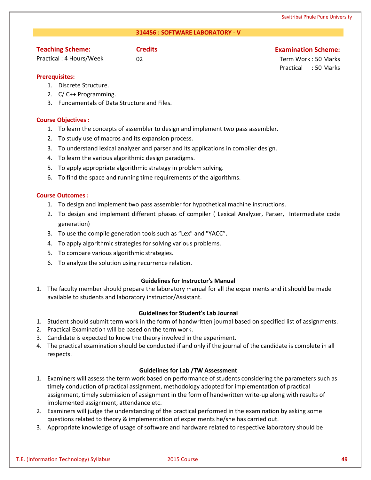# **314456 : SOFTWARE LABORATORY - V**

# **Teaching Scheme:**

Practical : 4 Hours/Week

# **Credits Examination Scheme:**

02 Term Work : 50 Marks Practical : 50 Marks

# **Prerequisites:**

- 1. Discrete Structure.
- 2. C/ C++ Programming.
- 3. Fundamentals of Data Structure and Files.

# **Course Objectives :**

- 1. To learn the concepts of assembler to design and implement two pass assembler.
- 2. To study use of macros and its expansion process.
- 3. To understand lexical analyzer and parser and its applications in compiler design.
- 4. To learn the various algorithmic design paradigms.
- 5. To apply appropriate algorithmic strategy in problem solving.
- 6. To find the space and running time requirements of the algorithms.

# **Course Outcomes :**

- 1. To design and implement two pass assembler for hypothetical machine instructions.
- 2. To design and implement different phases of compiler ( Lexical Analyzer, Parser, Intermediate code generation)
- 3. To use the compile generation tools such as "Lex" and "YACC".
- 4. To apply algorithmic strategies for solving various problems.
- 5. To compare various algorithmic strategies.
- 6. To analyze the solution using recurrence relation.

# **Guidelines for Instructor's Manual**

1. The faculty member should prepare the laboratory manual for all the experiments and it should be made available to students and laboratory instructor/Assistant.

# **Guidelines for Student's Lab Journal**

- 1. Student should submit term work in the form of handwritten journal based on specified list of assignments.
- 2. Practical Examination will be based on the term work.
- 3. Candidate is expected to know the theory involved in the experiment.
- 4. The practical examination should be conducted if and only if the journal of the candidate is complete in all respects.

# **Guidelines for Lab /TW Assessment**

- 1. Examiners will assess the term work based on performance of students considering the parameters such as timely conduction of practical assignment, methodology adopted for implementation of practical assignment, timely submission of assignment in the form of handwritten write-up along with results of implemented assignment, attendance etc.
- 2. Examiners will judge the understanding of the practical performed in the examination by asking some questions related to theory & implementation of experiments he/she has carried out.
- 3. Appropriate knowledge of usage of software and hardware related to respective laboratory should be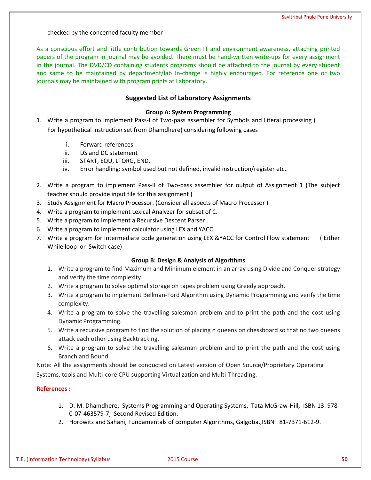checked by the concerned faculty member

As a conscious effort and little contribution towards Green IT and environment awareness, attaching printed papers of the program in journal may be avoided. There must be hand-written write-ups for every assignment in the journal. The DVD/CD containing students programs should be attached to the journal by every student and same to be maintained by department/lab In-charge is highly encouraged. For reference one or two journals may be maintained with program prints at Laboratory.

# **Suggested List of Laboratory Assignments**

# **Group A: System Programming**

- 1. Write a program to implement Pass-I of Two-pass assembler for Symbols and Literal processing ( For hypothetical instruction set from Dhamdhere) considering following cases
	- i. Forward references
	- ii. DS and DC statement
	- iii. START, EQU, LTORG, END.
	- iv. Error handling: symbol used but not defined, invalid instruction/register etc.
- 2. Write a program to implement Pass-II of Two-pass assembler for output of Assignment 1 (The subject teacher should provide input file for this assignment )
- 3. Study Assignment for Macro Processor. (Consider all aspects of Macro Processor )
- 4. Write a program to implement Lexical Analyzer for subset of C.
- 5. Write a program to implement a Recursive Descent Parser .
- 6. Write a program to implement calculator using LEX and YACC.
- 7. Write a program for Intermediate code generation using LEX &YACC for Control Flow statement ( Either While loop or Switch case)

# **Group B: Design & Analysis of Algorithms**

- 1. Write a program to find Maximum and Minimum element in an array using Divide and Conquer strategy and verify the time complexity.
- 2. Write a program to solve optimal storage on tapes problem using Greedy approach.
- 3. Write a program to implement Bellman-Ford Algorithm using Dynamic Programming and verify the time complexity.
- 4. Write a program to solve the travelling salesman problem and to print the path and the cost using Dynamic Programming.
- 5. Write a recursive program to find the solution of placing n queens on chessboard so that no two queens attack each other using Backtracking.
- 6. Write a program to solve the travelling salesman problem and to print the path and the cost using Branch and Bound.

Note: All the assignments should be conducted on Latest version of Open Source/Proprietary Operating Systems, tools and Multi-core CPU supporting Virtualization and Multi-Threading.

# **References :**

- 1. D. M. Dhamdhere, Systems Programming and Operating Systems, Tata McGraw-Hill, ISBN 13: 978- 0-07-463579-7, Second Revised Edition.
- 2. Horowitz and Sahani, Fundamentals of computer Algorithms, Galgotia.,ISBN : 81-7371-612-9.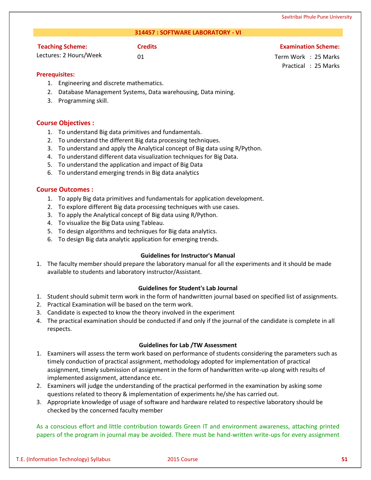### **314457 : SOFTWARE LABORATORY - VI**

# **Teaching Scheme:**

**Credits Examination Scheme:**

Lectures: 2 Hours/Week

01 Term Work : 25 Marks Practical : 25 Marks

**Prerequisites:** 

- 1. Engineering and discrete mathematics.
- 2. Database Management Systems, Data warehousing, Data mining.
- 3. Programming skill.

# **Course Objectives :**

- 1. To understand Big data primitives and fundamentals.
- 2. To understand the different Big data processing techniques.
- 3. To understand and apply the Analytical concept of Big data using R/Python.
- 4. To understand different data visualization techniques for Big Data.
- 5. To understand the application and impact of Big Data
- 6. To understand emerging trends in Big data analytics

# **Course Outcomes :**

- 1. To apply Big data primitives and fundamentals for application development.
- 2. To explore different Big data processing techniques with use cases.
- 3. To apply the Analytical concept of Big data using R/Python.
- 4. To visualize the Big Data using Tableau.
- 5. To design algorithms and techniques for Big data analytics.
- 6. To design Big data analytic application for emerging trends.

# **Guidelines for Instructor's Manual**

1. The faculty member should prepare the laboratory manual for all the experiments and it should be made available to students and laboratory instructor/Assistant.

# **Guidelines for Student's Lab Journal**

- 1. Student should submit term work in the form of handwritten journal based on specified list of assignments.
- 2. Practical Examination will be based on the term work.
- 3. Candidate is expected to know the theory involved in the experiment
- 4. The practical examination should be conducted if and only if the journal of the candidate is complete in all respects.

# **Guidelines for Lab /TW Assessment**

- 1. Examiners will assess the term work based on performance of students considering the parameters such as timely conduction of practical assignment, methodology adopted for implementation of practical assignment, timely submission of assignment in the form of handwritten write-up along with results of implemented assignment, attendance etc.
- 2. Examiners will judge the understanding of the practical performed in the examination by asking some questions related to theory & implementation of experiments he/she has carried out.
- 3. Appropriate knowledge of usage of software and hardware related to respective laboratory should be checked by the concerned faculty member

As a conscious effort and little contribution towards Green IT and environment awareness, attaching printed papers of the program in journal may be avoided. There must be hand-written write-ups for every assignment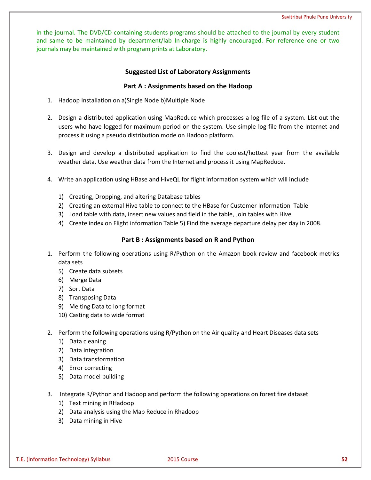in the journal. The DVD/CD containing students programs should be attached to the journal by every student and same to be maintained by department/lab In-charge is highly encouraged. For reference one or two journals may be maintained with program prints at Laboratory.

# **Suggested List of Laboratory Assignments**

# **Part A : Assignments based on the Hadoop**

- 1. Hadoop Installation on a)Single Node b)Multiple Node
- 2. Design a distributed application using MapReduce which processes a log file of a system. List out the users who have logged for maximum period on the system. Use simple log file from the Internet and process it using a pseudo distribution mode on Hadoop platform.
- 3. Design and develop a distributed application to find the coolest/hottest year from the available weather data. Use weather data from the Internet and process it using MapReduce.
- 4. Write an application using HBase and HiveQL for flight information system which will include
	- 1) Creating, Dropping, and altering Database tables
	- 2) Creating an external Hive table to connect to the HBase for Customer Information Table
	- 3) Load table with data, insert new values and field in the table, Join tables with Hive
	- 4) Create index on Flight information Table 5) Find the average departure delay per day in 2008.

# **Part B : Assignments based on R and Python**

- 1. Perform the following operations using R/Python on the Amazon book review and facebook metrics data sets
	- 5) Create data subsets
	- 6) Merge Data
	- 7) Sort Data
	- 8) Transposing Data
	- 9) Melting Data to long format
	- 10) Casting data to wide format
- 2. Perform the following operations using R/Python on the Air quality and Heart Diseases data sets
	- 1) Data cleaning
	- 2) Data integration
	- 3) Data transformation
	- 4) Error correcting
	- 5) Data model building
- 3. Integrate R/Python and Hadoop and perform the following operations on forest fire dataset
	- 1) Text mining in RHadoop
	- 2) Data analysis using the Map Reduce in Rhadoop
	- 3) Data mining in Hive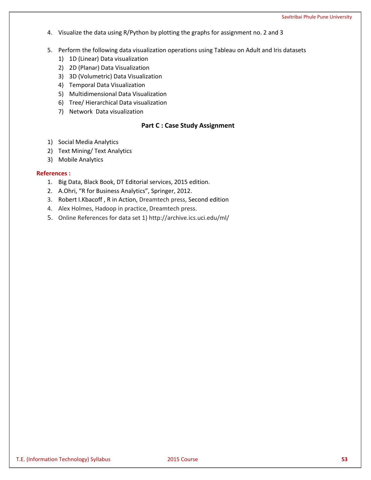- 4. Visualize the data using R/Python by plotting the graphs for assignment no. 2 and 3
- 5. Perform the following data visualization operations using Tableau on Adult and Iris datasets
	- 1) 1D (Linear) Data visualization
	- 2) 2D (Planar) Data Visualization
	- 3) 3D (Volumetric) Data Visualization
	- 4) Temporal Data Visualization
	- 5) Multidimensional Data Visualization
	- 6) Tree/ Hierarchical Data visualization
	- 7) Network Data visualization

# **Part C : Case Study Assignment**

- 1) Social Media Analytics
- 2) Text Mining/ Text Analytics
- 3) Mobile Analytics

# **References :**

- 1. Big Data, Black Book, DT Editorial services, 2015 edition.
- 2. A.Ohri, "R for Business Analytics", Springer, 2012.
- 3. Robert I.Kbacoff , R in Action, Dreamtech press, Second edition
- 4. Alex Holmes, Hadoop in practice, Dreamtech press.
- 5. Online References for data set 1) http://archive.ics.uci.edu/ml/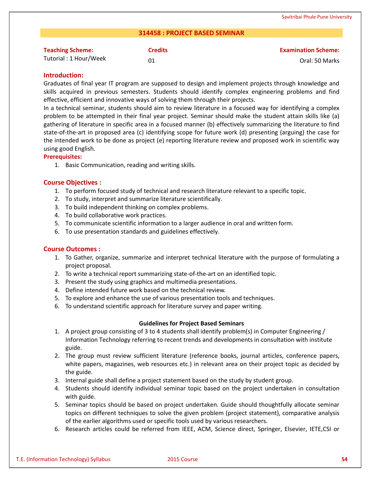# **314458 : PROJECT BASED SEMINAR**

| <b>Teaching Scheme:</b> | <b>Credits</b> | <b>Examination Scheme:</b> |
|-------------------------|----------------|----------------------------|
| Tutorial: 1 Hour/Week   | 01             | Oral: 50 Marks             |

# **Introduction:**

Graduates of final year IT program are supposed to design and implement projects through knowledge and skills acquired in previous semesters. Students should identify complex engineering problems and find effective, efficient and innovative ways of solving them through their projects.

In a technical seminar, students should aim to review literature in a focused way for identifying a complex problem to be attempted in their final year project. Seminar should make the student attain skills like (a) gathering of literature in specific area in a focused manner (b) effectively summarizing the literature to find state-of-the-art in proposed area (c) identifying scope for future work (d) presenting (arguing) the case for the intended work to be done as project (e) reporting literature review and proposed work in scientific way using good English.

# **Prerequisites:**

1. Basic Communication, reading and writing skills.

# **Course Objectives :**

- 1. To perform focused study of technical and research literature relevant to a specific topic.
- 2. To study, interpret and summarize literature scientifically.
- 3. To build independent thinking on complex problems.
- 4. To build collaborative work practices.
- 5. To communicate scientific information to a larger audience in oral and written form.
- 6. To use presentation standards and guidelines effectively.

# **Course Outcomes :**

- 1. To Gather, organize, summarize and interpret technical literature with the purpose of formulating a project proposal.
- 2. To write a technical report summarizing state-of-the-art on an identified topic.
- 3. Present the study using graphics and multimedia presentations.
- 4. Define intended future work based on the technical review.
- 5. To explore and enhance the use of various presentation tools and techniques.
- 6. To understand scientific approach for literature survey and paper writing.

# **Guidelines for Project Based Seminars**

- 1. A project group consisting of 3 to 4 students shall identify problem(s) in Computer Engineering / Information Technology referring to recent trends and developments in consultation with institute guide.
- 2. The group must review sufficient literature (reference books, journal articles, conference papers, white papers, magazines, web resources etc.) in relevant area on their project topic as decided by the guide.
- 3. Internal guide shall define a project statement based on the study by student group.
- 4. Students should identify individual seminar topic based on the project undertaken in consultation with guide.
- 5. Seminar topics should be based on project undertaken. Guide should thoughtfully allocate seminar topics on different techniques to solve the given problem (project statement), comparative analysis of the earlier algorithms used or specific tools used by various researchers.
- 6. Research articles could be referred from IEEE, ACM, Science direct, Springer, Elsevier, IETE,CSI or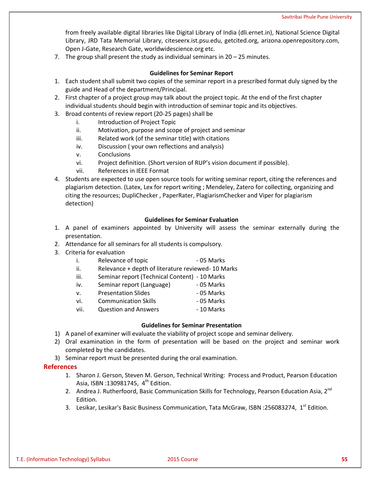from freely available digital libraries like Digital Library of India (dli.ernet.in), National Science Digital Library, JRD Tata Memorial Library, citeseerx.ist.psu.edu, getcited.org, arizona.openrepository.com, Open J-Gate, Research Gate, worldwidescience.org etc.

7. The group shall present the study as individual seminars in 20 – 25 minutes.

# **Guidelines for Seminar Report**

- 1. Each student shall submit two copies of the seminar report in a prescribed format duly signed by the guide and Head of the department/Principal.
- 2. First chapter of a project group may talk about the project topic. At the end of the first chapter individual students should begin with introduction of seminar topic and its objectives.
- 3. Broad contents of review report (20-25 pages) shall be
	- i. Introduction of Project Topic
	- ii. Motivation, purpose and scope of project and seminar
	- iii. Related work (of the seminar title) with citations
	- iv. Discussion ( your own reflections and analysis)
	- v. Conclusions
	- vi. Project definition. (Short version of RUP's vision document if possible).
	- vii. References in IEEE Format
- 4. Students are expected to use open source tools for writing seminar report, citing the references and plagiarism detection. (Latex, Lex for report writing ; Mendeley, Zatero for collecting, organizing and citing the resources; DupliChecker , PaperRater, PlagiarismChecker and Viper for plagiarism detection)

# **Guidelines for Seminar Evaluation**

- 1. A panel of examiners appointed by University will assess the seminar externally during the presentation.
- 2. Attendance for all seminars for all students is compulsory.
- 3. Criteria for evaluation
	- i. Relevance of topic **can be a controlled as a controlled and controlled a** 05 Marks
	- ii. Relevance + depth of literature reviewed-10 Marks
	- iii. Seminar report (Technical Content) 10 Marks
	- iv. Seminar report (Language) 05 Marks
	- v. Presentation Slides 05 Marks
	- vi. Communication Skills 05 Marks
	- vii. Question and Answers **10 Marks**

# **Guidelines for Seminar Presentation**

- 1) A panel of examiner will evaluate the viability of project scope and seminar delivery.
- 2) Oral examination in the form of presentation will be based on the project and seminar work completed by the candidates.
- 3) Seminar report must be presented during the oral examination.

# **References**

- 1. Sharon J. Gerson, Steven M. Gerson, Technical Writing: Process and Product, Pearson Education Asia, ISBN :130981745, 4<sup>th</sup> Edition.
- 2. Andrea J. Rutherfoord, Basic Communication Skills for Technology, Pearson Education Asia, 2<sup>nd</sup> Edition.
- 3. Lesikar, Lesikar's Basic Business Communication, Tata McGraw, ISBN :256083274, 1<sup>st</sup> Edition.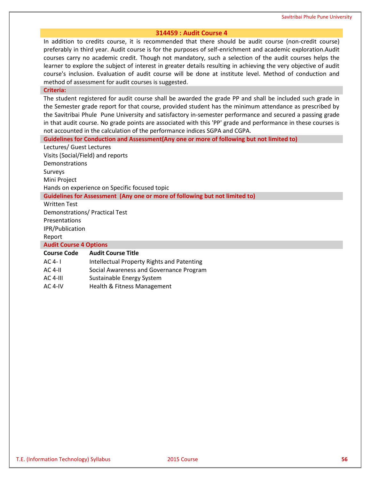### **314459 : Audit Course 4**

In addition to credits course, it is recommended that there should be audit course (non-credit course) preferably in third year. Audit course is for the purposes of self-enrichment and academic exploration.Audit courses carry no academic credit. Though not mandatory, such a selection of the audit courses helps the learner to explore the subject of interest in greater details resulting in achieving the very objective of audit course's inclusion. Evaluation of audit course will be done at institute level. Method of conduction and method of assessment for audit courses is suggested.

#### **Criteria:**

The student registered for audit course shall be awarded the grade PP and shall be included such grade in the Semester grade report for that course, provided student has the minimum attendance as prescribed by the Savitribai Phule Pune University and satisfactory in-semester performance and secured a passing grade in that audit course. No grade points are associated with this 'PP' grade and performance in these courses is not accounted in the calculation of the performance indices SGPA and CGPA.

**Guidelines for Conduction and Assessment(Any one or more of following but not limited to)**

Lectures/ Guest Lectures Visits (Social/Field) and reports **Demonstrations** Surveys Mini Project Hands on experience on Specific focused topic

# **Guidelines for Assessment (Any one or more of following but not limited to)**

Written Test Demonstrations/ Practical Test Presentations

IPR/Publication

Report

**Audit Course 4 Options**

# **Course Code Audit Course Title**

- AC 4- I Intellectual Property Rights and Patenting
- AC 4-II Social Awareness and Governance Program
- AC 4-III Sustainable Energy System
- AC 4-IV Health & Fitness Management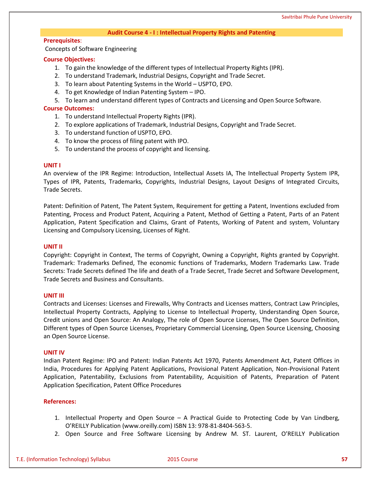### **Audit Course 4 - I : Intellectual Property Rights and Patenting**

# **Prerequisites**:

Concepts of Software Engineering

# **Course Objectives:**

- 1. To gain the knowledge of the different types of Intellectual Property Rights (IPR).
- 2. To understand Trademark, Industrial Designs, Copyright and Trade Secret.
- 3. To learn about Patenting Systems in the World USPTO, EPO.
- 4. To get Knowledge of Indian Patenting System IPO.
- 5. To learn and understand different types of Contracts and Licensing and Open Source Software.

### **Course Outcomes:**

- 1. To understand Intellectual Property Rights (IPR).
- 2. To explore applications of Trademark, Industrial Designs, Copyright and Trade Secret.
- 3. To understand function of USPTO, EPO.
- 4. To know the process of filing patent with IPO.
- 5. To understand the process of copyright and licensing.

### **UNIT I**

An overview of the IPR Regime: Introduction, Intellectual Assets IA, The Intellectual Property System IPR, Types of IPR, Patents, Trademarks, Copyrights, Industrial Designs, Layout Designs of Integrated Circuits, Trade Secrets.

Patent: Definition of Patent, The Patent System, Requirement for getting a Patent, Inventions excluded from Patenting, Process and Product Patent, Acquiring a Patent, Method of Getting a Patent, Parts of an Patent Application, Patent Specification and Claims, Grant of Patents, Working of Patent and system, Voluntary Licensing and Compulsory Licensing, Licenses of Right.

### **UNIT II**

Copyright: Copyright in Context, The terms of Copyright, Owning a Copyright, Rights granted by Copyright. Trademark: Trademarks Defined, The economic functions of Trademarks, Modern Trademarks Law. Trade Secrets: Trade Secrets defined The life and death of a Trade Secret, Trade Secret and Software Development, Trade Secrets and Business and Consultants.

### **UNIT III**

Contracts and Licenses: Licenses and Firewalls, Why Contracts and Licenses matters, Contract Law Principles, Intellectual Property Contracts, Applying to License to Intellectual Property, Understanding Open Source, Credit unions and Open Source: An Analogy, The role of Open Source Licenses, The Open Source Definition, Different types of Open Source Licenses, Proprietary Commercial Licensing, Open Source Licensing, Choosing an Open Source License.

### **UNIT IV**

Indian Patent Regime: IPO and Patent: Indian Patents Act 1970, Patents Amendment Act, Patent Offices in India, Procedures for Applying Patent Applications, Provisional Patent Application, Non-Provisional Patent Application, Patentability, Exclusions from Patentability, Acquisition of Patents, Preparation of Patent Application Specification, Patent Office Procedures

### **References:**

- 1. Intellectual Property and Open Source A Practical Guide to Protecting Code by Van Lindberg, O'REILLY Publication (www.oreilly.com) ISBN 13: 978-81-8404-563-5.
- 2. Open Source and Free Software Licensing by Andrew M. ST. Laurent, O'REILLY Publication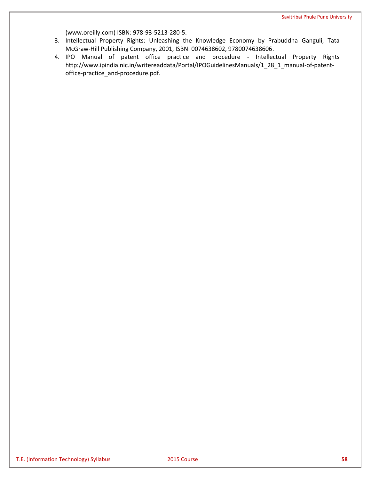(www.oreilly.com) ISBN: 978-93-5213-280-5.

- 3. Intellectual Property Rights: Unleashing the Knowledge Economy by Prabuddha Ganguli, Tata McGraw-Hill Publishing Company, 2001, ISBN: 0074638602, 9780074638606.
- 4. IPO Manual of patent office practice and procedure Intellectual Property Rights http://www.ipindia.nic.in/writereaddata/Portal/IPOGuidelinesManuals/1\_28\_1\_manual-of-patentoffice-practice\_and-procedure.pdf.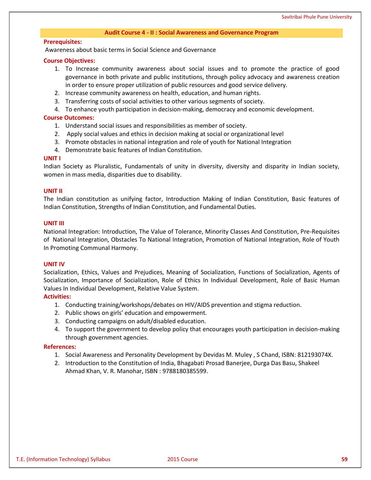### **Audit Course 4 - II : Social Awareness and Governance Program**

#### **Prerequisites:**

Awareness about basic terms in Social Science and Governance

#### **Course Objectives:**

- 1. To Increase community awareness about social issues and to promote the practice of good governance in both private and public institutions, through policy advocacy and awareness creation in order to ensure proper utilization of public resources and good service delivery.
- 2. Increase community awareness on health, education, and human rights.
- 3. Transferring costs of social activities to other various segments of society.
- 4. To enhance youth participation in decision-making, democracy and economic development.

# **Course Outcomes:**

- 1. Understand social issues and responsibilities as member of society.
- 2. Apply social values and ethics in decision making at social or organizational level
- 3. Promote obstacles in national integration and role of youth for National Integration
- 4. Demonstrate basic features of Indian Constitution.

### **UNIT I**

Indian Society as Pluralistic, Fundamentals of unity in diversity, diversity and disparity in Indian society, women in mass media, disparities due to disability.

### **UNIT II**

The Indian constitution as unifying factor, Introduction Making of Indian Constitution, Basic features of Indian Constitution, Strengths of Indian Constitution, and Fundamental Duties.

# **UNIT III**

National Integration: Introduction, The Value of Tolerance, Minority Classes And Constitution, Pre-Requisites of National Integration, Obstacles To National Integration, Promotion of National Integration, Role of Youth In Promoting Communal Harmony.

#### **UNIT IV**

Socialization, Ethics, Values and Prejudices, Meaning of Socialization, Functions of Socialization, Agents of Socialization, Importance of Socialization, Role of Ethics In Individual Development, Role of Basic Human Values In Individual Development, Relative Value System.

### **Activities:**

- 1. Conducting training/workshops/debates on HIV/AIDS prevention and stigma reduction.
- 2. Public shows on girls' education and empowerment.
- 3. Conducting campaigns on adult/disabled education.
- 4. To support the government to develop policy that encourages youth participation in decision-making through government agencies.

#### **References:**

- 1. Social Awareness and Personality Development by [Devidas M. Muley](https://www.amazon.com/s/ref=dp_byline_sr_book_1?ie=UTF8&text=Devidas+M.+Muley&search-alias=books&field-author=Devidas+M.+Muley&sort=relevancerank) , S Chand, ISBN: 812193074X.
- 2. Introduction to the Constitution of India, Bhagabati Prosad Banerjee, Durga Das Basu, Shakeel Ahmad Khan, V. R. Manohar, ISBN : 9788180385599.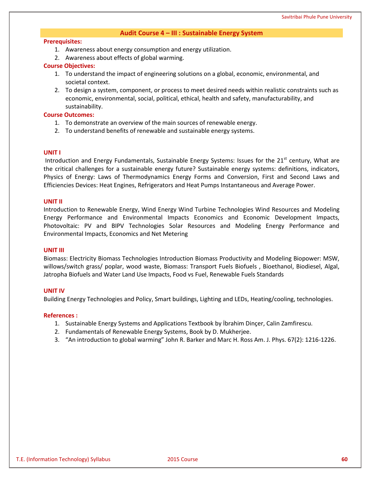# **Audit Course 4 – III : Sustainable Energy System**

#### **Prerequisites:**

- 1. Awareness about energy consumption and energy utilization.
- 2. Awareness about effects of global warming.

### **Course Objectives:**

- 1. To understand the impact of engineering solutions on a global, economic, environmental, and societal context.
- 2. To design a system, component, or process to meet desired needs within realistic constraints such as economic, environmental, social, political, ethical, health and safety, manufacturability, and sustainability.

### **Course Outcomes:**

- 1. To demonstrate an overview of the main sources of renewable energy.
- 2. To understand benefits of renewable and sustainable energy systems.

#### **UNIT I**

Introduction and Energy Fundamentals, Sustainable Energy Systems: Issues for the 21<sup>st</sup> century, What are the critical challenges for a sustainable energy future? Sustainable energy systems: definitions, indicators, Physics of Energy: Laws of Thermodynamics Energy Forms and Conversion, First and Second Laws and Efficiencies Devices: Heat Engines, Refrigerators and Heat Pumps Instantaneous and Average Power.

#### **UNIT II**

Introduction to Renewable Energy, Wind Energy Wind Turbine Technologies Wind Resources and Modeling Energy Performance and Environmental Impacts Economics and Economic Development Impacts, Photovoltaic: PV and BIPV Technologies Solar Resources and Modeling Energy Performance and Environmental Impacts, Economics and Net Metering

### **UNIT III**

Biomass: Electricity Biomass Technologies Introduction Biomass Productivity and Modeling Biopower: MSW, willows/switch grass/ poplar, wood waste, Biomass: Transport Fuels Biofuels , Bioethanol, Biodiesel, Algal, Jatropha Biofuels and Water Land Use Impacts, Food vs Fuel, Renewable Fuels Standards

#### **UNIT IV**

Building Energy Technologies and Policy, Smart buildings, Lighting and LEDs, Heating/cooling, technologies.

#### **References :**

- 1. Sustainable Energy Systems and Applications Textbook by İbrahim Dinçer, Calin [Zamfirescu.](https://www.google.co.in/search?sa=X&biw=1366&bih=657&noj=1&q=sustainable+energy+systems+and+applications+calin+zamfirescu&stick=H4sIAAAAAAAAAOPgE-LRT9c3NErKM0srLE5TgvDyyuOzi6uMtWSyk630k_Lzs_XLizJLSlLz4svzi7KtEktLMvKLANbbb6o8AAAA&ved=0ahUKEwitn7Sr-_rQAhVLNY8KHVV6AEkQmxMIfSgCMA8)
- 2. Fundamentals of Renewable Energy Systems, Book by D. Mukherjee.
- 3. "An introduction to global warming" John R. Barker and Marc H. Ross Am. J. Phys. 67(2): 1216-1226.